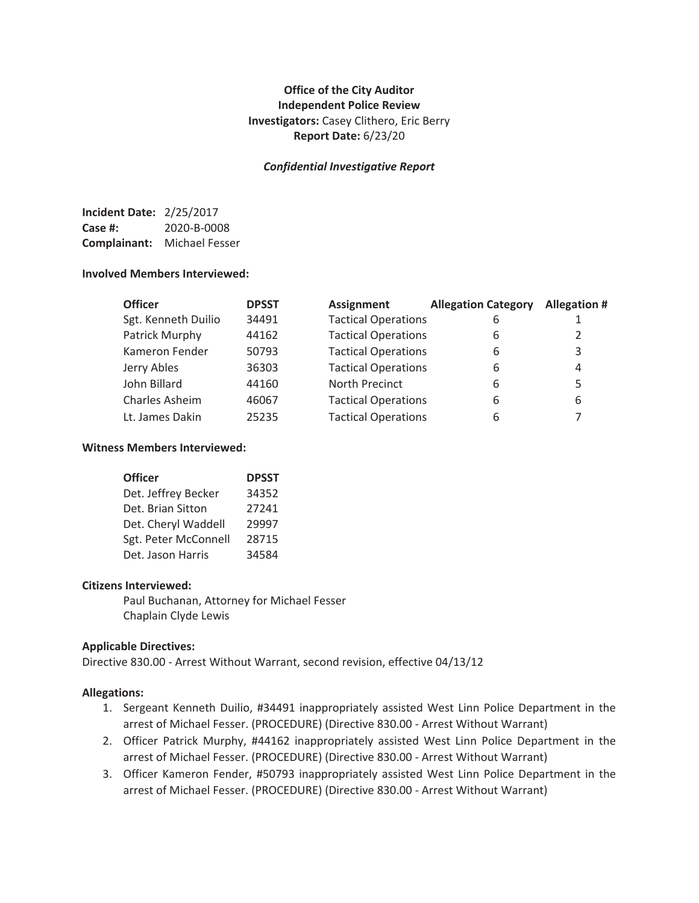# **Office of the City Auditor Independent Police Review Investigators:** Casey Clithero, Eric Berry **Report Date:** 6/23/20

## *Confidential Investigative Report*

**Incident Date:** 2/25/2017 **Case #:** 2020-B-0008 **Complainant:** Michael Fesser

### **Involved Members Interviewed:**

| <b>Officer</b>      | <b>DPSST</b> | Assignment                 | <b>Allegation Category</b> | <b>Allegation #</b> |
|---------------------|--------------|----------------------------|----------------------------|---------------------|
| Sgt. Kenneth Duilio | 34491        | <b>Tactical Operations</b> | 6                          |                     |
| Patrick Murphy      | 44162        | <b>Tactical Operations</b> | 6                          | 2                   |
| Kameron Fender      | 50793        | <b>Tactical Operations</b> | 6                          | 3                   |
| Jerry Ables         | 36303        | <b>Tactical Operations</b> | 6                          | 4                   |
| John Billard        | 44160        | North Precinct             | 6                          | 5                   |
| Charles Asheim      | 46067        | <b>Tactical Operations</b> | 6                          | 6                   |
| Lt. James Dakin     | 25235        | <b>Tactical Operations</b> | 6                          | 7                   |

### **Witness Members Interviewed:**

| <b>Officer</b>       | <b>DPSST</b> |
|----------------------|--------------|
| Det. Jeffrey Becker  | 34352        |
| Det. Brian Sitton    | 27241        |
| Det. Cheryl Waddell  | 29997        |
| Sgt. Peter McConnell | 28715        |
| Det. Jason Harris    | 34584        |

## **Citizens Interviewed:**

Paul Buchanan, Attorney for Michael Fesser Chaplain Clyde Lewis

### **Applicable Directives:**

Directive 830.00 - Arrest Without Warrant, second revision, effective 04/13/12

### **Allegations:**

- 1. Sergeant Kenneth Duilio, #34491 inappropriately assisted West Linn Police Department in the arrest of Michael Fesser. (PROCEDURE) (Directive 830.00 - Arrest Without Warrant)
- 2. Officer Patrick Murphy, #44162 inappropriately assisted West Linn Police Department in the arrest of Michael Fesser. (PROCEDURE) (Directive 830.00 - Arrest Without Warrant)
- 3. Officer Kameron Fender, #50793 inappropriately assisted West Linn Police Department in the arrest of Michael Fesser. (PROCEDURE) (Directive 830.00 - Arrest Without Warrant)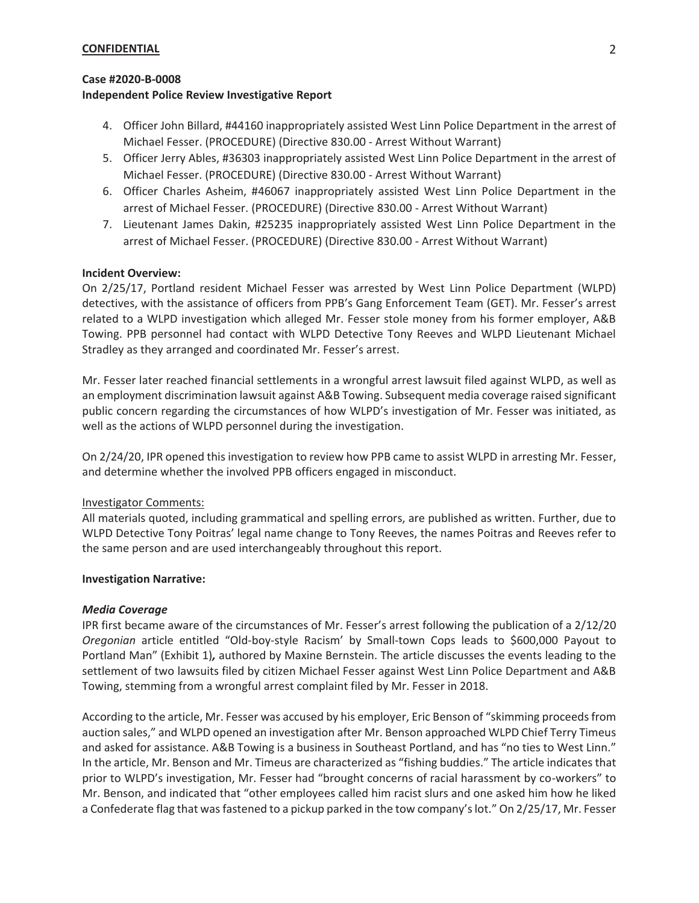#### **Case #2020-B-0008**

### **Independent Police Review Investigative Report**

- 4. Officer John Billard, #44160 inappropriately assisted West Linn Police Department in the arrest of Michael Fesser. (PROCEDURE) (Directive 830.00 - Arrest Without Warrant)
- 5. Officer Jerry Ables, #36303 inappropriately assisted West Linn Police Department in the arrest of Michael Fesser. (PROCEDURE) (Directive 830.00 - Arrest Without Warrant)
- 6. Officer Charles Asheim, #46067 inappropriately assisted West Linn Police Department in the arrest of Michael Fesser. (PROCEDURE) (Directive 830.00 - Arrest Without Warrant)
- 7. Lieutenant James Dakin, #25235 inappropriately assisted West Linn Police Department in the arrest of Michael Fesser. (PROCEDURE) (Directive 830.00 - Arrest Without Warrant)

### **Incident Overview:**

On 2/25/17, Portland resident Michael Fesser was arrested by West Linn Police Department (WLPD) detectives, with the assistance of officers from PPB's Gang Enforcement Team (GET). Mr. Fesser's arrest related to a WLPD investigation which alleged Mr. Fesser stole money from his former employer, A&B Towing. PPB personnel had contact with WLPD Detective Tony Reeves and WLPD Lieutenant Michael Stradley as they arranged and coordinated Mr. Fesser's arrest.

Mr. Fesser later reached financial settlements in a wrongful arrest lawsuit filed against WLPD, as well as an employment discrimination lawsuit against A&B Towing. Subsequent media coverage raised significant public concern regarding the circumstances of how WLPD's investigation of Mr. Fesser was initiated, as well as the actions of WLPD personnel during the investigation.

On 2/24/20, IPR opened this investigation to review how PPB came to assist WLPD in arresting Mr. Fesser, and determine whether the involved PPB officers engaged in misconduct.

#### Investigator Comments:

All materials quoted, including grammatical and spelling errors, are published as written. Further, due to WLPD Detective Tony Poitras' legal name change to Tony Reeves, the names Poitras and Reeves refer to the same person and are used interchangeably throughout this report.

#### **Investigation Narrative:**

#### *Media Coverage*

IPR first became aware of the circumstances of Mr. Fesser's arrest following the publication of a 2/12/20 *Oregonian* article entitled "Old-boy-style Racism' by Small-town Cops leads to \$600,000 Payout to Portland Man" (Exhibit 1)*,* authored by Maxine Bernstein. The article discusses the events leading to the settlement of two lawsuits filed by citizen Michael Fesser against West Linn Police Department and A&B Towing, stemming from a wrongful arrest complaint filed by Mr. Fesser in 2018.

According to the article, Mr. Fesser was accused by his employer, Eric Benson of "skimming proceeds from auction sales," and WLPD opened an investigation after Mr. Benson approached WLPD Chief Terry Timeus and asked for assistance. A&B Towing is a business in Southeast Portland, and has "no ties to West Linn." In the article, Mr. Benson and Mr. Timeus are characterized as "fishing buddies." The article indicates that prior to WLPD's investigation, Mr. Fesser had "brought concerns of racial harassment by co-workers" to Mr. Benson, and indicated that "other employees called him racist slurs and one asked him how he liked a Confederate flag that was fastened to a pickup parked in the tow company's lot." On 2/25/17, Mr. Fesser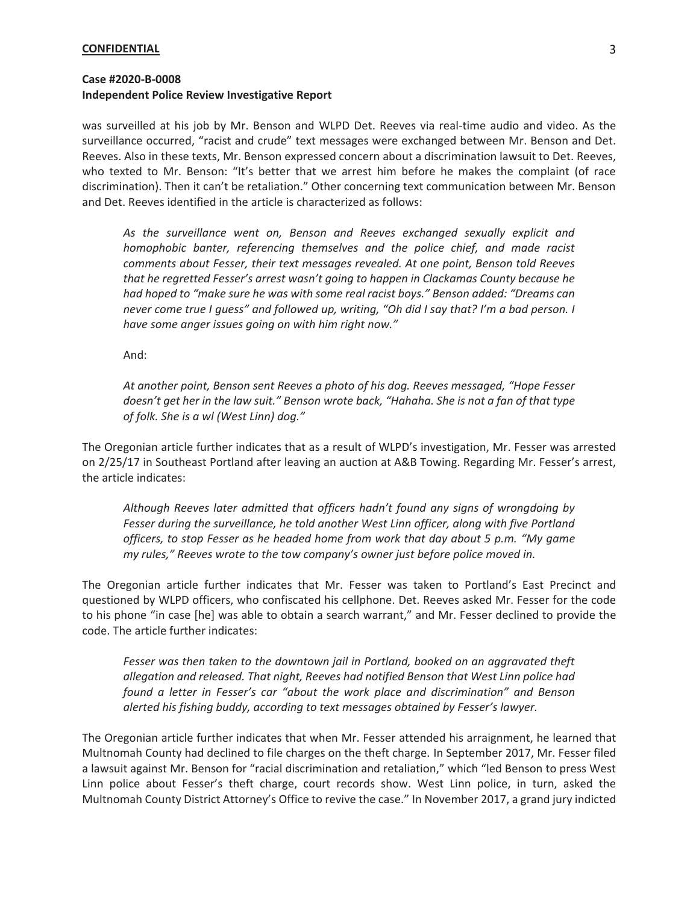was surveilled at his job by Mr. Benson and WLPD Det. Reeves via real-time audio and video. As the surveillance occurred, "racist and crude" text messages were exchanged between Mr. Benson and Det. Reeves. Also in these texts, Mr. Benson expressed concern about a discrimination lawsuit to Det. Reeves, who texted to Mr. Benson: "It's better that we arrest him before he makes the complaint (of race discrimination). Then it can't be retaliation." Other concerning text communication between Mr. Benson and Det. Reeves identified in the article is characterized as follows:

*As the surveillance went on, Benson and Reeves exchanged sexually explicit and homophobic banter, referencing themselves and the police chief, and made racist comments about Fesser, their text messages revealed. At one point, Benson told Reeves that he regretted Fesser's arrest wasn't going to happen in Clackamas County because he had hoped to "make sure he was with some real racist boys." Benson added: "Dreams can never come true I guess" and followed up, writing, "Oh did I say that? I'm a bad person. I have some anger issues going on with him right now."* 

And:

*At another point, Benson sent Reeves a photo of his dog. Reeves messaged, "Hope Fesser doesn't get her in the law suit." Benson wrote back, "Hahaha. She is not a fan of that type of folk. She is a wl (West Linn) dog."* 

The Oregonian article further indicates that as a result of WLPD's investigation, Mr. Fesser was arrested on 2/25/17 in Southeast Portland after leaving an auction at A&B Towing. Regarding Mr. Fesser's arrest, the article indicates:

*Although Reeves later admitted that officers hadn't found any signs of wrongdoing by Fesser during the surveillance, he told another West Linn officer, along with five Portland officers, to stop Fesser as he headed home from work that day about 5 p.m. "My game my rules," Reeves wrote to the tow company's owner just before police moved in.* 

The Oregonian article further indicates that Mr. Fesser was taken to Portland's East Precinct and questioned by WLPD officers, who confiscated his cellphone. Det. Reeves asked Mr. Fesser for the code to his phone "in case [he] was able to obtain a search warrant," and Mr. Fesser declined to provide the code. The article further indicates:

*Fesser was then taken to the downtown jail in Portland, booked on an aggravated theft allegation and released. That night, Reeves had notified Benson that West Linn police had found a letter in Fesser's car "about the work place and discrimination" and Benson alerted his fishing buddy, according to text messages obtained by Fesser's lawyer.*

The Oregonian article further indicates that when Mr. Fesser attended his arraignment, he learned that Multnomah County had declined to file charges on the theft charge. In September 2017, Mr. Fesser filed a lawsuit against Mr. Benson for "racial discrimination and retaliation," which "led Benson to press West Linn police about Fesser's theft charge, court records show. West Linn police, in turn, asked the Multnomah County District Attorney's Office to revive the case." In November 2017, a grand jury indicted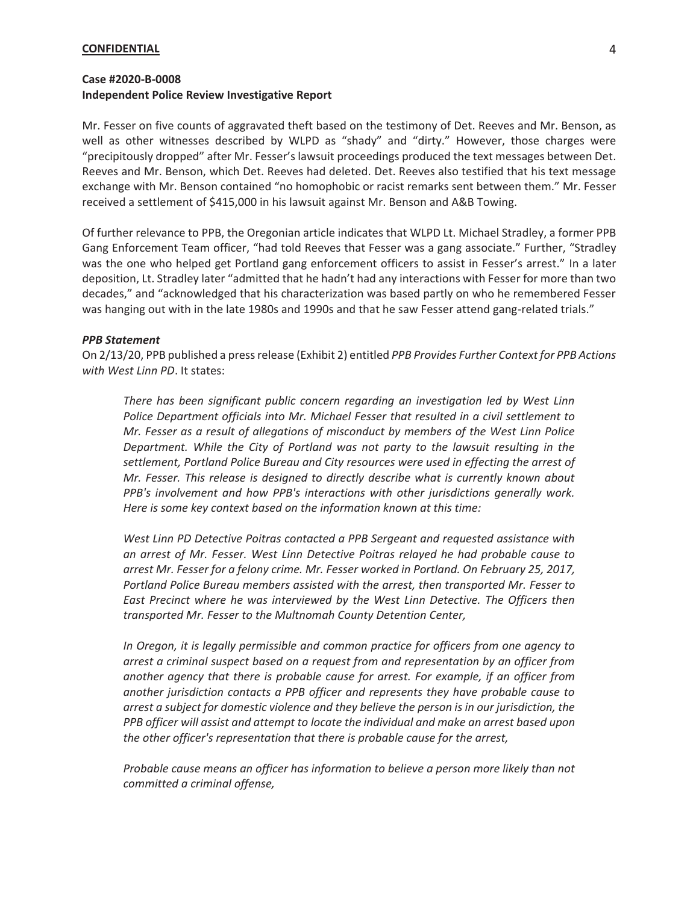Mr. Fesser on five counts of aggravated theft based on the testimony of Det. Reeves and Mr. Benson, as well as other witnesses described by WLPD as "shady" and "dirty." However, those charges were "precipitously dropped" after Mr. Fesser's lawsuit proceedings produced the text messages between Det. Reeves and Mr. Benson, which Det. Reeves had deleted. Det. Reeves also testified that his text message exchange with Mr. Benson contained "no homophobic or racist remarks sent between them." Mr. Fesser received a settlement of \$415,000 in his lawsuit against Mr. Benson and A&B Towing.

Of further relevance to PPB, the Oregonian article indicates that WLPD Lt. Michael Stradley, a former PPB Gang Enforcement Team officer, "had told Reeves that Fesser was a gang associate." Further, "Stradley was the one who helped get Portland gang enforcement officers to assist in Fesser's arrest." In a later deposition, Lt. Stradley later "admitted that he hadn't had any interactions with Fesser for more than two decades," and "acknowledged that his characterization was based partly on who he remembered Fesser was hanging out with in the late 1980s and 1990s and that he saw Fesser attend gang-related trials."

#### *PPB Statement*

On 2/13/20, PPB published a press release (Exhibit 2) entitled *PPB Provides Further Context for PPB Actions with West Linn PD*. It states:

*There has been significant public concern regarding an investigation led by West Linn Police Department officials into Mr. Michael Fesser that resulted in a civil settlement to Mr. Fesser as a result of allegations of misconduct by members of the West Linn Police Department. While the City of Portland was not party to the lawsuit resulting in the settlement, Portland Police Bureau and City resources were used in effecting the arrest of Mr. Fesser. This release is designed to directly describe what is currently known about PPB's involvement and how PPB's interactions with other jurisdictions generally work. Here is some key context based on the information known at this time:* 

*West Linn PD Detective Poitras contacted a PPB Sergeant and requested assistance with an arrest of Mr. Fesser. West Linn Detective Poitras relayed he had probable cause to arrest Mr. Fesser for a felony crime. Mr. Fesser worked in Portland. On February 25, 2017, Portland Police Bureau members assisted with the arrest, then transported Mr. Fesser to*  East Precinct where he was interviewed by the West Linn Detective. The Officers then *transported Mr. Fesser to the Multnomah County Detention Center,* 

*In Oregon, it is legally permissible and common practice for officers from one agency to arrest a criminal suspect based on a request from and representation by an officer from another agency that there is probable cause for arrest. For example, if an officer from another jurisdiction contacts a PPB officer and represents they have probable cause to arrest a subject for domestic violence and they believe the person is in our jurisdiction, the PPB officer will assist and attempt to locate the individual and make an arrest based upon the other officer's representation that there is probable cause for the arrest,* 

*Probable cause means an officer has information to believe a person more likely than not committed a criminal offense,*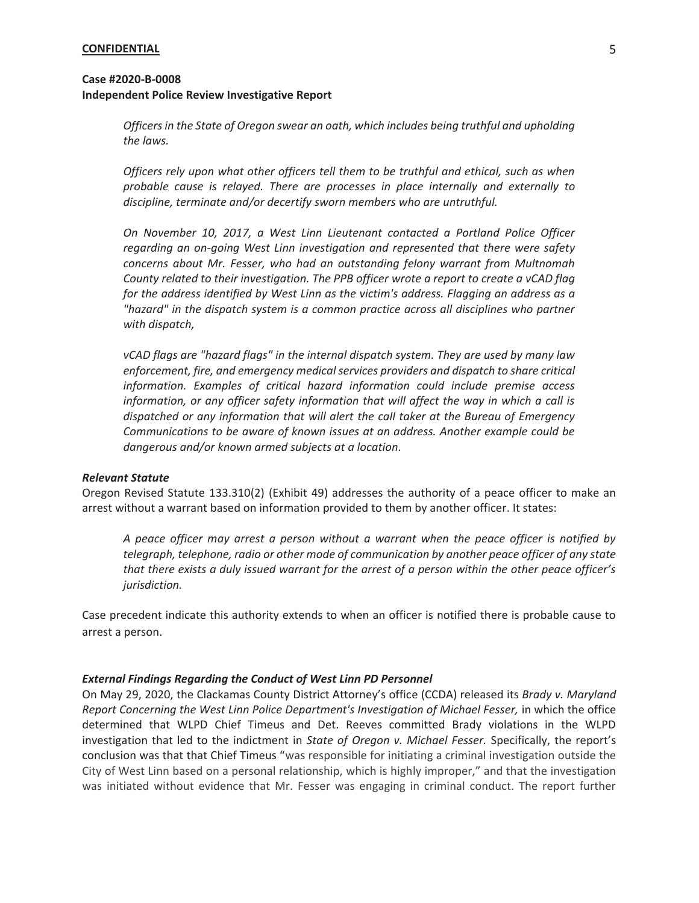## **Case #2020-B-0008 Independent Police Review Investigative Report**

*Officers in the State of Oregon swear an oath, which includes being truthful and upholding the laws.* 

*Officers rely upon what other officers tell them to be truthful and ethical, such as when probable cause is relayed. There are processes in place internally and externally to discipline, terminate and/or decertify sworn members who are untruthful.* 

*On November 10, 2017, a West Linn Lieutenant contacted a Portland Police Officer regarding an on-going West Linn investigation and represented that there were safety concerns about Mr. Fesser, who had an outstanding felony warrant from Multnomah County related to their investigation. The PPB officer wrote a report to create a vCAD flag for the address identified by West Linn as the victim's address. Flagging an address as a "hazard" in the dispatch system is a common practice across all disciplines who partner with dispatch,* 

*vCAD flags are "hazard flags" in the internal dispatch system. They are used by many law enforcement, fire, and emergency medical services providers and dispatch to share critical information. Examples of critical hazard information could include premise access information, or any officer safety information that will affect the way in which a call is dispatched or any information that will alert the call taker at the Bureau of Emergency Communications to be aware of known issues at an address. Another example could be dangerous and/or known armed subjects at a location.* 

#### *Relevant Statute*

Oregon Revised Statute 133.310(2) (Exhibit 49) addresses the authority of a peace officer to make an arrest without a warrant based on information provided to them by another officer. It states:

*A peace officer may arrest a person without a warrant when the peace officer is notified by telegraph, telephone, radio or other mode of communication by another peace officer of any state that there exists a duly issued warrant for the arrest of a person within the other peace officer's jurisdiction.* 

Case precedent indicate this authority extends to when an officer is notified there is probable cause to arrest a person.

#### *External Findings Regarding the Conduct of West Linn PD Personnel*

On May 29, 2020, the Clackamas County District Attorney's office (CCDA) released its *Brady v. Maryland Report Concerning the West Linn Police Department's Investigation of Michael Fesser,* in which the office determined that WLPD Chief Timeus and Det. Reeves committed Brady violations in the WLPD investigation that led to the indictment in *State of Oregon v. Michael Fesser.* Specifically, the report's conclusion was that that Chief Timeus "was responsible for initiating a criminal investigation outside the City of West Linn based on a personal relationship, which is highly improper," and that the investigation was initiated without evidence that Mr. Fesser was engaging in criminal conduct. The report further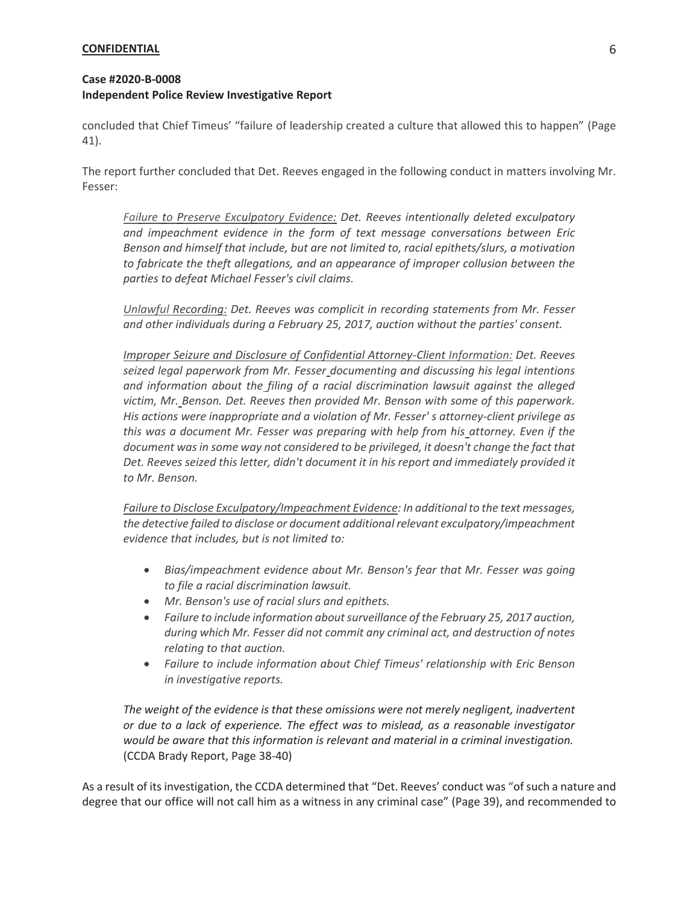concluded that Chief Timeus' "failure of leadership created a culture that allowed this to happen" (Page 41).

The report further concluded that Det. Reeves engaged in the following conduct in matters involving Mr. Fesser:

*Failure to Preserve Exculpatory Evidence: Det. Reeves intentionally deleted exculpatory and impeachment evidence in the form of text message conversations between Eric Benson and himself that include, but are not limited to, racial epithets/slurs, a motivation to fabricate the theft allegations, and an appearance of improper collusion between the parties to defeat Michael Fesser's civil claims.* 

*Unlawful Recording: Det. Reeves was complicit in recording statements from Mr. Fesser and other individuals during a February 25, 2017, auction without the parties' consent.* 

*Improper Seizure and Disclosure of Confidential Attorney-Client Information: Det. Reeves seized legal paperwork from Mr. Fesser documenting and discussing his legal intentions and information about the filing of a racial discrimination lawsuit against the alleged victim, Mr. Benson. Det. Reeves then provided Mr. Benson with some of this paperwork. His actions were inappropriate and a violation of Mr. Fesser' s attorney-client privilege as this was a document Mr. Fesser was preparing with help from his attorney. Even if the document was in some way not considered to be privileged, it doesn't change the fact that Det. Reeves seized this letter, didn't document it in his report and immediately provided it to Mr. Benson.* 

*Failure to Disclose Exculpatory/Impeachment Evidence: In additional to the text messages, the detective failed to disclose or document additional relevant exculpatory/impeachment evidence that includes, but is not limited to:* 

- x *Bias/impeachment evidence about Mr. Benson's fear that Mr. Fesser was going to file a racial discrimination lawsuit.*
- x *Mr. Benson's use of racial slurs and epithets.*
- x *Failure to include information about surveillance of the February 25, 2017 auction, during which Mr. Fesser did not commit any criminal act, and destruction of notes relating to that auction.*
- x *Failure to include information about Chief Timeus' relationship with Eric Benson in investigative reports.*

*The weight of the evidence is that these omissions were not merely negligent, inadvertent or due to a lack of experience. The effect was to mislead, as a reasonable investigator would be aware that this information is relevant and material in a criminal investigation.*  (CCDA Brady Report, Page 38-40)

As a result of its investigation, the CCDA determined that "Det. Reeves' conduct was "of such a nature and degree that our office will not call him as a witness in any criminal case" (Page 39), and recommended to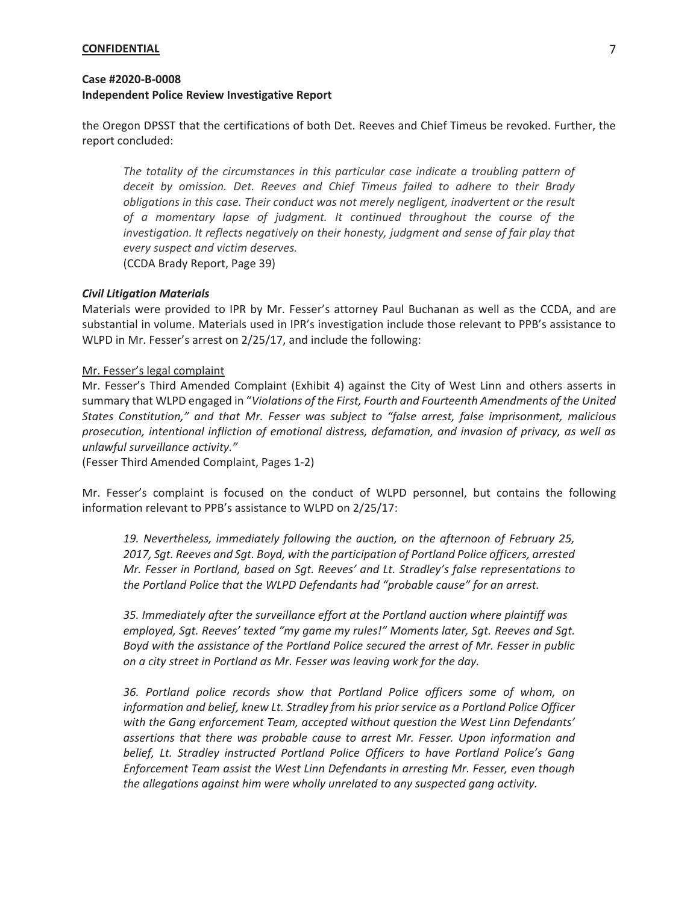## **Case #2020-B-0008 Independent Police Review Investigative Report**

the Oregon DPSST that the certifications of both Det. Reeves and Chief Timeus be revoked. Further, the report concluded:

*The totality of the circumstances in this particular case indicate a troubling pattern of deceit by omission. Det. Reeves and Chief Timeus failed to adhere to their Brady obligations in this case. Their conduct was not merely negligent, inadvertent or the result of a momentary lapse of judgment. It continued throughout the course of the investigation. It reflects negatively on their honesty, judgment and sense of fair play that every suspect and victim deserves.* (CCDA Brady Report, Page 39)

#### *Civil Litigation Materials*

Materials were provided to IPR by Mr. Fesser's attorney Paul Buchanan as well as the CCDA, and are substantial in volume. Materials used in IPR's investigation include those relevant to PPB's assistance to WLPD in Mr. Fesser's arrest on 2/25/17, and include the following:

#### Mr. Fesser's legal complaint

Mr. Fesser's Third Amended Complaint (Exhibit 4) against the City of West Linn and others asserts in summary that WLPD engaged in "*Violations of the First, Fourth and Fourteenth Amendments of the United States Constitution," and that Mr. Fesser was subject to "false arrest, false imprisonment, malicious prosecution, intentional infliction of emotional distress, defamation, and invasion of privacy, as well as unlawful surveillance activity."* 

(Fesser Third Amended Complaint, Pages 1-2)

Mr. Fesser's complaint is focused on the conduct of WLPD personnel, but contains the following information relevant to PPB's assistance to WLPD on 2/25/17:

*19. Nevertheless, immediately following the auction, on the afternoon of February 25, 2017, Sgt. Reeves and Sgt. Boyd, with the participation of Portland Police officers, arrested Mr. Fesser in Portland, based on Sgt. Reeves' and Lt. Stradley's false representations to the Portland Police that the WLPD Defendants had "probable cause" for an arrest.*

*35. Immediately after the surveillance effort at the Portland auction where plaintiff was employed, Sgt. Reeves' texted "my game my rules!" Moments later, Sgt. Reeves and Sgt. Boyd with the assistance of the Portland Police secured the arrest of Mr. Fesser in public on a city street in Portland as Mr. Fesser was leaving work for the day.*

*36. Portland police records show that Portland Police officers some of whom, on information and belief, knew Lt. Stradley from his prior service as a Portland Police Officer with the Gang enforcement Team, accepted without question the West Linn Defendants' assertions that there was probable cause to arrest Mr. Fesser. Upon information and belief, Lt. Stradley instructed Portland Police Officers to have Portland Police's Gang Enforcement Team assist the West Linn Defendants in arresting Mr. Fesser, even though the allegations against him were wholly unrelated to any suspected gang activity.*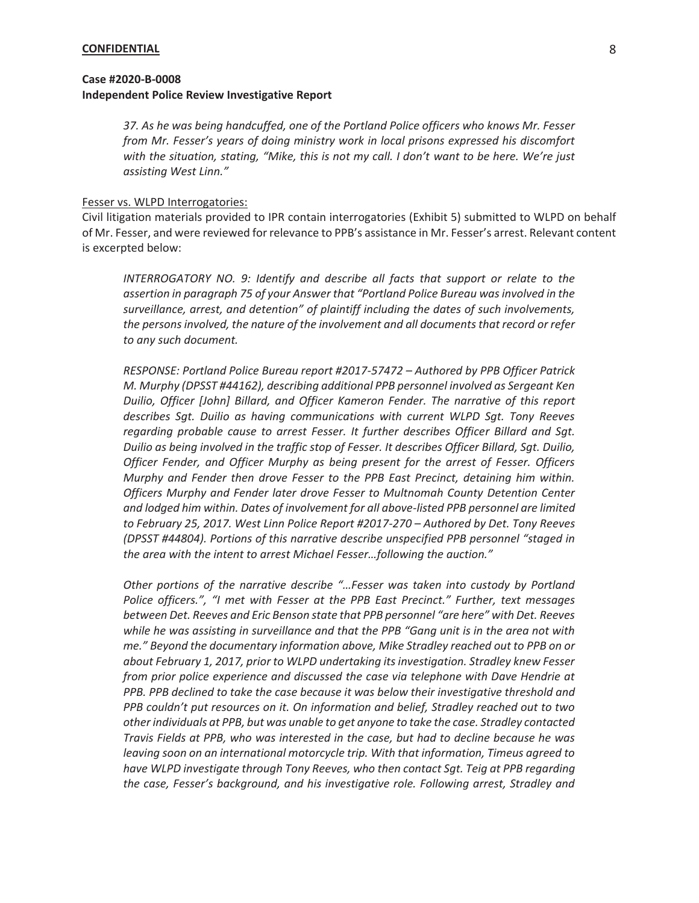*37. As he was being handcuffed, one of the Portland Police officers who knows Mr. Fesser from Mr. Fesser's years of doing ministry work in local prisons expressed his discomfort with the situation, stating, "Mike, this is not my call. I don't want to be here. We're just assisting West Linn."*

#### Fesser vs. WLPD Interrogatories:

Civil litigation materials provided to IPR contain interrogatories (Exhibit 5) submitted to WLPD on behalf of Mr. Fesser, and were reviewed for relevance to PPB's assistance in Mr. Fesser's arrest. Relevant content is excerpted below:

*INTERROGATORY NO. 9: Identify and describe all facts that support or relate to the assertion in paragraph 75 of your Answer that "Portland Police Bureau was involved in the surveillance, arrest, and detention" of plaintiff including the dates of such involvements, the persons involved, the nature of the involvement and all documents that record or refer to any such document.* 

*RESPONSE: Portland Police Bureau report #2017-57472 – Authored by PPB Officer Patrick M. Murphy (DPSST #44162), describing additional PPB personnel involved as Sergeant Ken Duilio, Officer [John] Billard, and Officer Kameron Fender. The narrative of this report describes Sgt. Duilio as having communications with current WLPD Sgt. Tony Reeves regarding probable cause to arrest Fesser. It further describes Officer Billard and Sgt. Duilio as being involved in the traffic stop of Fesser. It describes Officer Billard, Sgt. Duilio, Officer Fender, and Officer Murphy as being present for the arrest of Fesser. Officers Murphy and Fender then drove Fesser to the PPB East Precinct, detaining him within. Officers Murphy and Fender later drove Fesser to Multnomah County Detention Center and lodged him within. Dates of involvement for all above-listed PPB personnel are limited to February 25, 2017. West Linn Police Report #2017-270 – Authored by Det. Tony Reeves (DPSST #44804). Portions of this narrative describe unspecified PPB personnel "staged in the area with the intent to arrest Michael Fesser…following the auction."*

*Other portions of the narrative describe "…Fesser was taken into custody by Portland Police officers.", "I met with Fesser at the PPB East Precinct." Further, text messages between Det. Reeves and Eric Benson state that PPB personnel "are here" with Det. Reeves while he was assisting in surveillance and that the PPB "Gang unit is in the area not with me." Beyond the documentary information above, Mike Stradley reached out to PPB on or about February 1, 2017, prior to WLPD undertaking its investigation. Stradley knew Fesser from prior police experience and discussed the case via telephone with Dave Hendrie at PPB. PPB declined to take the case because it was below their investigative threshold and PPB couldn't put resources on it. On information and belief, Stradley reached out to two other individuals at PPB, but was unable to get anyone to take the case. Stradley contacted Travis Fields at PPB, who was interested in the case, but had to decline because he was leaving soon on an international motorcycle trip. With that information, Timeus agreed to have WLPD investigate through Tony Reeves, who then contact Sgt. Teig at PPB regarding the case, Fesser's background, and his investigative role. Following arrest, Stradley and*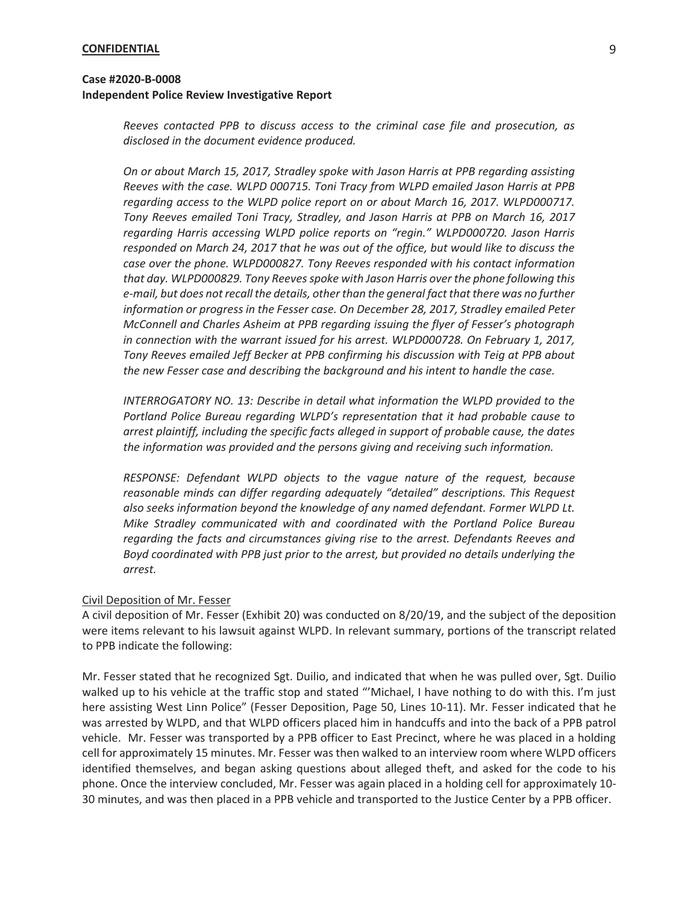## **Case #2020-B-0008 Independent Police Review Investigative Report**

*Reeves contacted PPB to discuss access to the criminal case file and prosecution, as disclosed in the document evidence produced.* 

*On or about March 15, 2017, Stradley spoke with Jason Harris at PPB regarding assisting Reeves with the case. WLPD 000715. Toni Tracy from WLPD emailed Jason Harris at PPB regarding access to the WLPD police report on or about March 16, 2017. WLPD000717. Tony Reeves emailed Toni Tracy, Stradley, and Jason Harris at PPB on March 16, 2017 regarding Harris accessing WLPD police reports on "regin." WLPD000720. Jason Harris responded on March 24, 2017 that he was out of the office, but would like to discuss the case over the phone. WLPD000827. Tony Reeves responded with his contact information that day. WLPD000829. Tony Reeves spoke with Jason Harris over the phone following this e-mail, but does not recall the details, other than the general fact that there was no further information or progress in the Fesser case. On December 28, 2017, Stradley emailed Peter McConnell and Charles Asheim at PPB regarding issuing the flyer of Fesser's photograph in connection with the warrant issued for his arrest. WLPD000728. On February 1, 2017, Tony Reeves emailed Jeff Becker at PPB confirming his discussion with Teig at PPB about the new Fesser case and describing the background and his intent to handle the case.*

*INTERROGATORY NO. 13: Describe in detail what information the WLPD provided to the Portland Police Bureau regarding WLPD's representation that it had probable cause to arrest plaintiff, including the specific facts alleged in support of probable cause, the dates the information was provided and the persons giving and receiving such information.* 

*RESPONSE: Defendant WLPD objects to the vague nature of the request, because reasonable minds can differ regarding adequately "detailed" descriptions. This Request also seeks information beyond the knowledge of any named defendant. Former WLPD Lt. Mike Stradley communicated with and coordinated with the Portland Police Bureau regarding the facts and circumstances giving rise to the arrest. Defendants Reeves and Boyd coordinated with PPB just prior to the arrest, but provided no details underlying the arrest.*

### Civil Deposition of Mr. Fesser

A civil deposition of Mr. Fesser (Exhibit 20) was conducted on 8/20/19, and the subject of the deposition were items relevant to his lawsuit against WLPD. In relevant summary, portions of the transcript related to PPB indicate the following:

Mr. Fesser stated that he recognized Sgt. Duilio, and indicated that when he was pulled over, Sgt. Duilio walked up to his vehicle at the traffic stop and stated "'Michael, I have nothing to do with this. I'm just here assisting West Linn Police" (Fesser Deposition, Page 50, Lines 10-11). Mr. Fesser indicated that he was arrested by WLPD, and that WLPD officers placed him in handcuffs and into the back of a PPB patrol vehicle. Mr. Fesser was transported by a PPB officer to East Precinct, where he was placed in a holding cell for approximately 15 minutes. Mr. Fesser was then walked to an interview room where WLPD officers identified themselves, and began asking questions about alleged theft, and asked for the code to his phone. Once the interview concluded, Mr. Fesser was again placed in a holding cell for approximately 10- 30 minutes, and was then placed in a PPB vehicle and transported to the Justice Center by a PPB officer.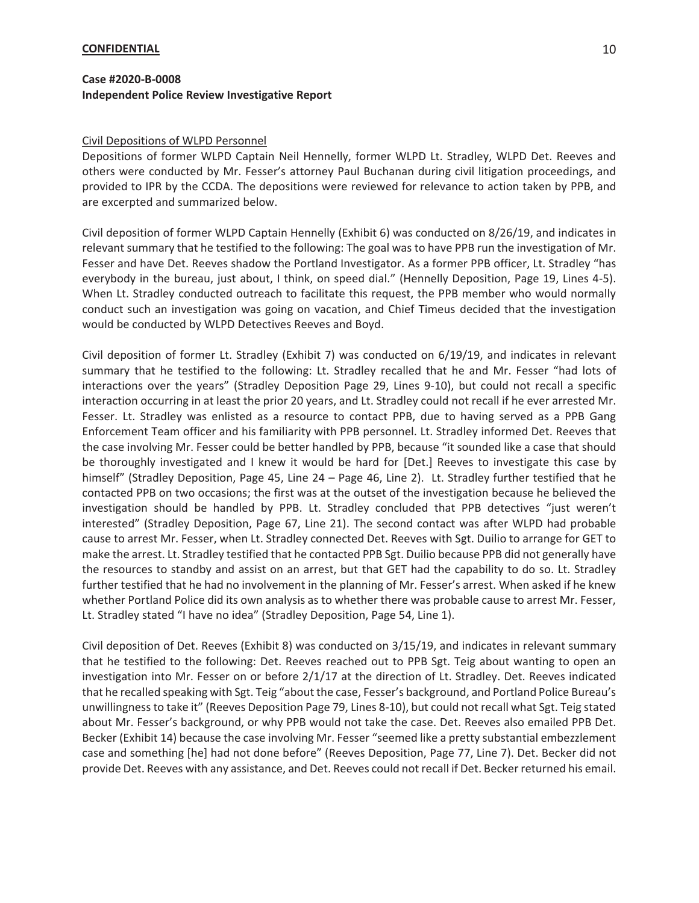## **Case #2020-B-0008 Independent Police Review Investigative Report**

#### Civil Depositions of WLPD Personnel

Depositions of former WLPD Captain Neil Hennelly, former WLPD Lt. Stradley, WLPD Det. Reeves and others were conducted by Mr. Fesser's attorney Paul Buchanan during civil litigation proceedings, and provided to IPR by the CCDA. The depositions were reviewed for relevance to action taken by PPB, and are excerpted and summarized below.

Civil deposition of former WLPD Captain Hennelly (Exhibit 6) was conducted on 8/26/19, and indicates in relevant summary that he testified to the following: The goal was to have PPB run the investigation of Mr. Fesser and have Det. Reeves shadow the Portland Investigator. As a former PPB officer, Lt. Stradley "has everybody in the bureau, just about, I think, on speed dial." (Hennelly Deposition, Page 19, Lines 4-5). When Lt. Stradley conducted outreach to facilitate this request, the PPB member who would normally conduct such an investigation was going on vacation, and Chief Timeus decided that the investigation would be conducted by WLPD Detectives Reeves and Boyd.

Civil deposition of former Lt. Stradley (Exhibit 7) was conducted on 6/19/19, and indicates in relevant summary that he testified to the following: Lt. Stradley recalled that he and Mr. Fesser "had lots of interactions over the years" (Stradley Deposition Page 29, Lines 9-10), but could not recall a specific interaction occurring in at least the prior 20 years, and Lt. Stradley could not recall if he ever arrested Mr. Fesser. Lt. Stradley was enlisted as a resource to contact PPB, due to having served as a PPB Gang Enforcement Team officer and his familiarity with PPB personnel. Lt. Stradley informed Det. Reeves that the case involving Mr. Fesser could be better handled by PPB, because "it sounded like a case that should be thoroughly investigated and I knew it would be hard for [Det.] Reeves to investigate this case by himself" (Stradley Deposition, Page 45, Line 24 – Page 46, Line 2). Lt. Stradley further testified that he contacted PPB on two occasions; the first was at the outset of the investigation because he believed the investigation should be handled by PPB. Lt. Stradley concluded that PPB detectives "just weren't interested" (Stradley Deposition, Page 67, Line 21). The second contact was after WLPD had probable cause to arrest Mr. Fesser, when Lt. Stradley connected Det. Reeves with Sgt. Duilio to arrange for GET to make the arrest. Lt. Stradley testified that he contacted PPB Sgt. Duilio because PPB did not generally have the resources to standby and assist on an arrest, but that GET had the capability to do so. Lt. Stradley further testified that he had no involvement in the planning of Mr. Fesser's arrest. When asked if he knew whether Portland Police did its own analysis as to whether there was probable cause to arrest Mr. Fesser, Lt. Stradley stated "I have no idea" (Stradley Deposition, Page 54, Line 1).

Civil deposition of Det. Reeves (Exhibit 8) was conducted on 3/15/19, and indicates in relevant summary that he testified to the following: Det. Reeves reached out to PPB Sgt. Teig about wanting to open an investigation into Mr. Fesser on or before 2/1/17 at the direction of Lt. Stradley. Det. Reeves indicated that he recalled speaking with Sgt. Teig "about the case, Fesser's background, and Portland Police Bureau's unwillingness to take it" (Reeves Deposition Page 79, Lines 8-10), but could not recall what Sgt. Teig stated about Mr. Fesser's background, or why PPB would not take the case. Det. Reeves also emailed PPB Det. Becker (Exhibit 14) because the case involving Mr. Fesser "seemed like a pretty substantial embezzlement case and something [he] had not done before" (Reeves Deposition, Page 77, Line 7). Det. Becker did not provide Det. Reeves with any assistance, and Det. Reeves could not recall if Det. Becker returned his email.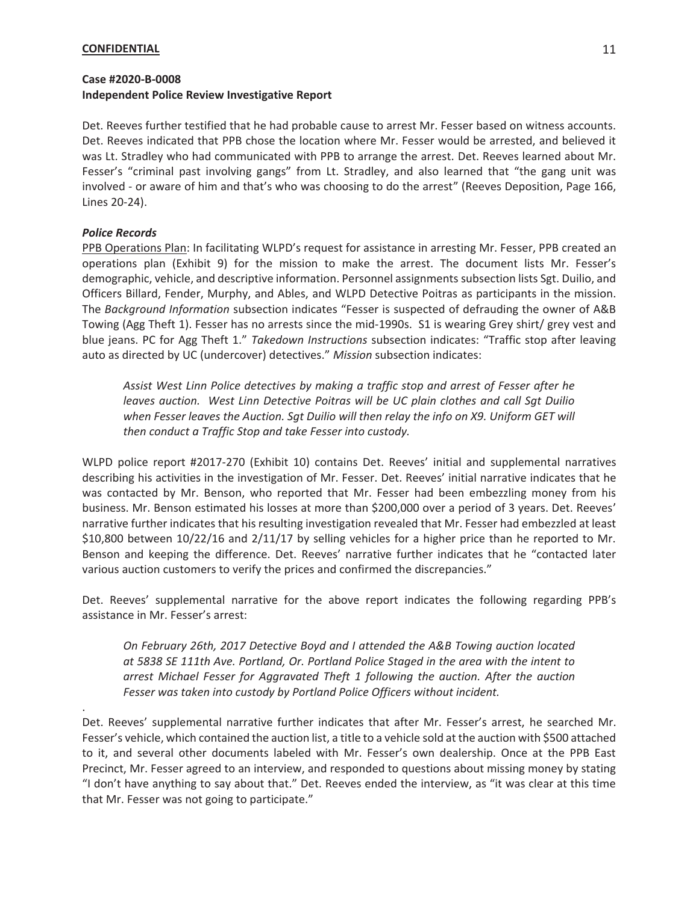Det. Reeves further testified that he had probable cause to arrest Mr. Fesser based on witness accounts. Det. Reeves indicated that PPB chose the location where Mr. Fesser would be arrested, and believed it was Lt. Stradley who had communicated with PPB to arrange the arrest. Det. Reeves learned about Mr. Fesser's "criminal past involving gangs" from Lt. Stradley, and also learned that "the gang unit was involved - or aware of him and that's who was choosing to do the arrest" (Reeves Deposition, Page 166, Lines 20-24).

## *Police Records*

.

PPB Operations Plan: In facilitating WLPD's request for assistance in arresting Mr. Fesser, PPB created an operations plan (Exhibit 9) for the mission to make the arrest. The document lists Mr. Fesser's demographic, vehicle, and descriptive information. Personnel assignments subsection lists Sgt. Duilio, and Officers Billard, Fender, Murphy, and Ables, and WLPD Detective Poitras as participants in the mission. The *Background Information* subsection indicates "Fesser is suspected of defrauding the owner of A&B Towing (Agg Theft 1). Fesser has no arrests since the mid-1990s. S1 is wearing Grey shirt/ grey vest and blue jeans. PC for Agg Theft 1." *Takedown Instructions* subsection indicates: "Traffic stop after leaving auto as directed by UC (undercover) detectives." *Mission* subsection indicates:

*Assist West Linn Police detectives by making a traffic stop and arrest of Fesser after he leaves auction. West Linn Detective Poitras will be UC plain clothes and call Sgt Duilio*  when Fesser leaves the Auction. Sgt Duilio will then relay the info on X9. Uniform GET will *then conduct a Traffic Stop and take Fesser into custody.*

WLPD police report #2017-270 (Exhibit 10) contains Det. Reeves' initial and supplemental narratives describing his activities in the investigation of Mr. Fesser. Det. Reeves' initial narrative indicates that he was contacted by Mr. Benson, who reported that Mr. Fesser had been embezzling money from his business. Mr. Benson estimated his losses at more than \$200,000 over a period of 3 years. Det. Reeves' narrative further indicates that his resulting investigation revealed that Mr. Fesser had embezzled at least \$10,800 between 10/22/16 and 2/11/17 by selling vehicles for a higher price than he reported to Mr. Benson and keeping the difference. Det. Reeves' narrative further indicates that he "contacted later various auction customers to verify the prices and confirmed the discrepancies."

Det. Reeves' supplemental narrative for the above report indicates the following regarding PPB's assistance in Mr. Fesser's arrest:

*On February 26th, 2017 Detective Boyd and I attended the A&B Towing auction located at 5838 SE 111th Ave. Portland, Or. Portland Police Staged in the area with the intent to arrest Michael Fesser for Aggravated Theft 1 following the auction. After the auction Fesser was taken into custody by Portland Police Officers without incident.*

Det. Reeves' supplemental narrative further indicates that after Mr. Fesser's arrest, he searched Mr. Fesser's vehicle, which contained the auction list, a title to a vehicle sold at the auction with \$500 attached to it, and several other documents labeled with Mr. Fesser's own dealership. Once at the PPB East Precinct, Mr. Fesser agreed to an interview, and responded to questions about missing money by stating "I don't have anything to say about that." Det. Reeves ended the interview, as "it was clear at this time that Mr. Fesser was not going to participate."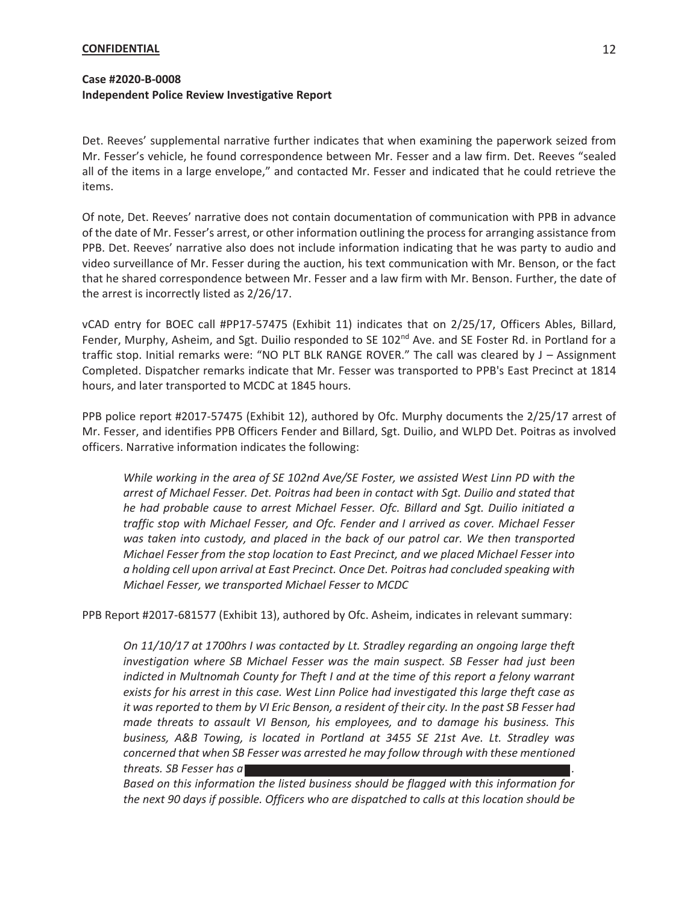# **Case #2020-B-0008 Independent Police Review Investigative Report**

Det. Reeves' supplemental narrative further indicates that when examining the paperwork seized from Mr. Fesser's vehicle, he found correspondence between Mr. Fesser and a law firm. Det. Reeves "sealed all of the items in a large envelope," and contacted Mr. Fesser and indicated that he could retrieve the items.

Of note, Det. Reeves' narrative does not contain documentation of communication with PPB in advance of the date of Mr. Fesser's arrest, or other information outlining the process for arranging assistance from PPB. Det. Reeves' narrative also does not include information indicating that he was party to audio and video surveillance of Mr. Fesser during the auction, his text communication with Mr. Benson, or the fact that he shared correspondence between Mr. Fesser and a law firm with Mr. Benson. Further, the date of the arrest is incorrectly listed as 2/26/17.

vCAD entry for BOEC call #PP17-57475 (Exhibit 11) indicates that on 2/25/17, Officers Ables, Billard, Fender, Murphy, Asheim, and Sgt. Duilio responded to SE 102<sup>nd</sup> Ave. and SE Foster Rd. in Portland for a traffic stop. Initial remarks were: "NO PLT BLK RANGE ROVER." The call was cleared by J – Assignment Completed. Dispatcher remarks indicate that Mr. Fesser was transported to PPB's East Precinct at 1814 hours, and later transported to MCDC at 1845 hours.

PPB police report #2017-57475 (Exhibit 12), authored by Ofc. Murphy documents the 2/25/17 arrest of Mr. Fesser, and identifies PPB Officers Fender and Billard, Sgt. Duilio, and WLPD Det. Poitras as involved officers. Narrative information indicates the following:

*While working in the area of SE 102nd Ave/SE Foster, we assisted West Linn PD with the arrest of Michael Fesser. Det. Poitras had been in contact with Sgt. Duilio and stated that he had probable cause to arrest Michael Fesser. Ofc. Billard and Sgt. Duilio initiated a traffic stop with Michael Fesser, and Ofc. Fender and I arrived as cover. Michael Fesser was taken into custody, and placed in the back of our patrol car. We then transported Michael Fesser from the stop location to East Precinct, and we placed Michael Fesser into a holding cell upon arrival at East Precinct. Once Det. Poitras had concluded speaking with Michael Fesser, we transported Michael Fesser to MCDC* 

PPB Report #2017-681577 (Exhibit 13), authored by Ofc. Asheim, indicates in relevant summary:

*On 11/10/17 at 1700hrs I was contacted by Lt. Stradley regarding an ongoing large theft investigation where SB Michael Fesser was the main suspect. SB Fesser had just been indicted in Multnomah County for Theft I and at the time of this report a felony warrant exists for his arrest in this case. West Linn Police had investigated this large theft case as it was reported to them by VI Eric Benson, a resident of their city. In the past SB Fesser had made threats to assault VI Benson, his employees, and to damage his business. This business, A&B Towing, is located in Portland at 3455 SE 21st Ave. Lt. Stradley was concerned that when SB Fesser was arrested he may follow through with these mentioned threats. SB Fesser has a* 

*Based on this information the listed business should be flagged with this information for the next 90 days if possible. Officers who are dispatched to calls at this location should be*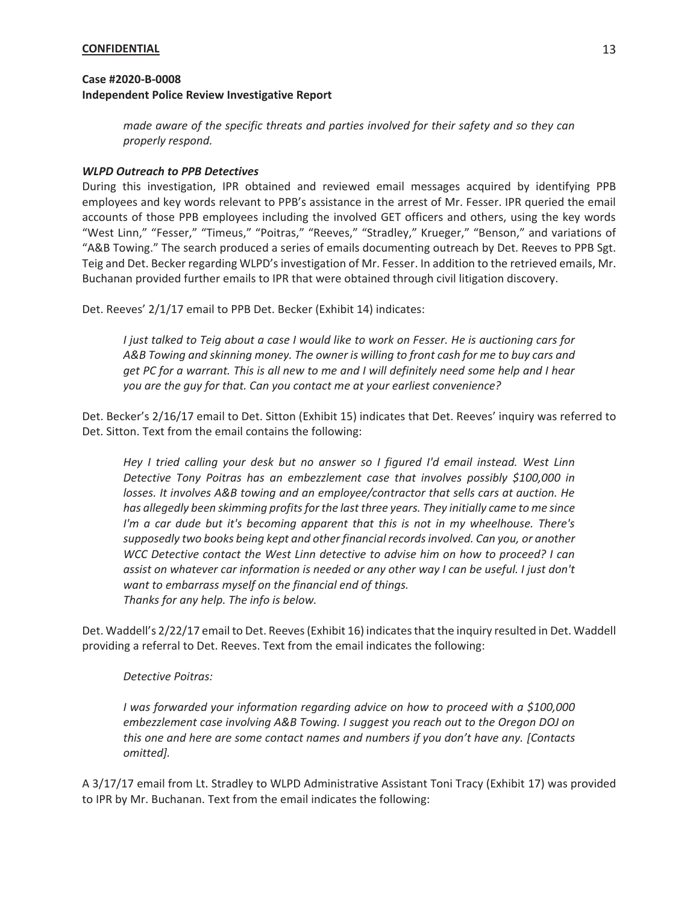*made aware of the specific threats and parties involved for their safety and so they can properly respond.* 

### *WLPD Outreach to PPB Detectives*

During this investigation, IPR obtained and reviewed email messages acquired by identifying PPB employees and key words relevant to PPB's assistance in the arrest of Mr. Fesser. IPR queried the email accounts of those PPB employees including the involved GET officers and others, using the key words "West Linn," "Fesser," "Timeus," "Poitras," "Reeves," "Stradley," Krueger," "Benson," and variations of "A&B Towing." The search produced a series of emails documenting outreach by Det. Reeves to PPB Sgt. Teig and Det. Becker regarding WLPD's investigation of Mr. Fesser. In addition to the retrieved emails, Mr. Buchanan provided further emails to IPR that were obtained through civil litigation discovery.

Det. Reeves' 2/1/17 email to PPB Det. Becker (Exhibit 14) indicates:

*I just talked to Teig about a case I would like to work on Fesser. He is auctioning cars for A&B Towing and skinning money. The owner is willing to front cash for me to buy cars and get PC for a warrant. This is all new to me and I will definitely need some help and I hear you are the guy for that. Can you contact me at your earliest convenience?* 

Det. Becker's 2/16/17 email to Det. Sitton (Exhibit 15) indicates that Det. Reeves' inquiry was referred to Det. Sitton. Text from the email contains the following:

*Hey I tried calling your desk but no answer so I figured I'd email instead. West Linn Detective Tony Poitras has an embezzlement case that involves possibly \$100,000 in losses. It involves A&B towing and an employee/contractor that sells cars at auction. He has allegedly been skimming profits for the last three years. They initially came to me since I'm a car dude but it's becoming apparent that this is not in my wheelhouse. There's supposedly two books being kept and other financial records involved. Can you, or another WCC Detective contact the West Linn detective to advise him on how to proceed? I can assist on whatever car information is needed or any other way I can be useful. I just don't want to embarrass myself on the financial end of things. Thanks for any help. The info is below.*

Det. Waddell's 2/22/17 email to Det. Reeves (Exhibit 16) indicates that the inquiry resulted in Det. Waddell providing a referral to Det. Reeves. Text from the email indicates the following:

### *Detective Poitras:*

*I was forwarded your information regarding advice on how to proceed with a \$100,000 embezzlement case involving A&B Towing. I suggest you reach out to the Oregon DOJ on this one and here are some contact names and numbers if you don't have any. [Contacts omitted].*

A 3/17/17 email from Lt. Stradley to WLPD Administrative Assistant Toni Tracy (Exhibit 17) was provided to IPR by Mr. Buchanan. Text from the email indicates the following: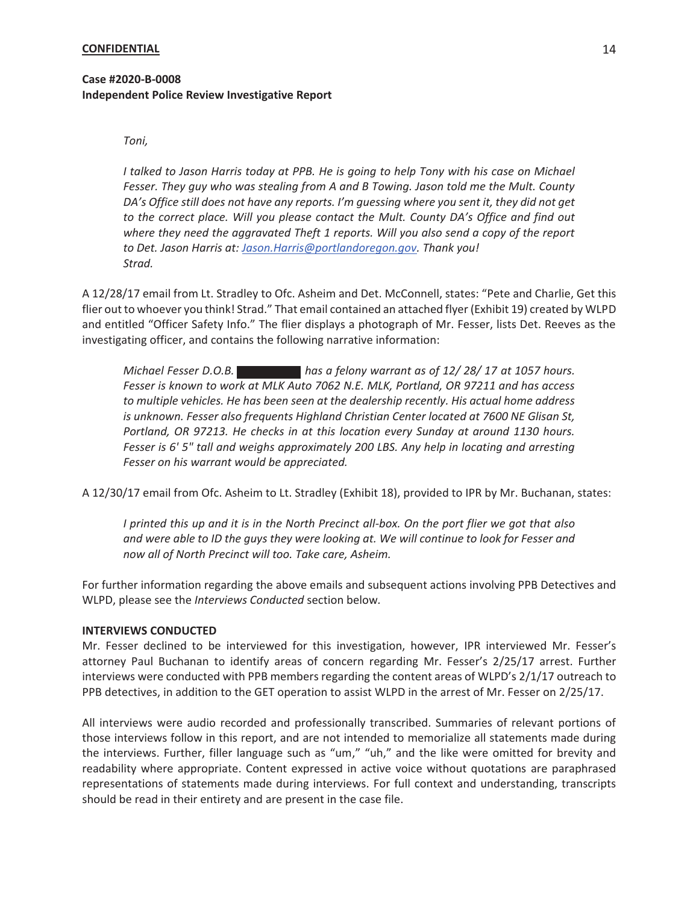# **Case #2020-B-0008 Independent Police Review Investigative Report**

#### *Toni,*

*I talked to Jason Harris today at PPB. He is going to help Tony with his case on Michael* Fesser. They guy who was stealing from A and B Towing. Jason told me the Mult. County *DA's Office still does not have any reports. I'm guessing where you sent it, they did not get to the correct place. Will you please contact the Mult. County DA's Office and find out where they need the aggravated Theft 1 reports. Will you also send a copy of the report to Det. Jason Harris at: Jason.Harris@portlandoregon.gov. Thank you! Strad.* 

A 12/28/17 email from Lt. Stradley to Ofc. Asheim and Det. McConnell, states: "Pete and Charlie, Get this flier out to whoever you think! Strad." That email contained an attached flyer (Exhibit 19) created by WLPD and entitled "Officer Safety Info." The flier displays a photograph of Mr. Fesser, lists Det. Reeves as the investigating officer, and contains the following narrative information:

*Michael Fesser D.O.B. has a felony warrant as of 12/ 28/ 17 at 1057 hours. Fesser is known to work at MLK Auto 7062 N.E. MLK, Portland, OR 97211 and has access to multiple vehicles. He has been seen at the dealership recently. His actual home address is unknown. Fesser also frequents Highland Christian Center located at 7600 NE Glisan St, Portland, OR 97213. He checks in at this location every Sunday at around 1130 hours. Fesser is 6' 5" tall and weighs approximately 200 LBS. Any help in locating and arresting Fesser on his warrant would be appreciated.* 

A 12/30/17 email from Ofc. Asheim to Lt. Stradley (Exhibit 18), provided to IPR by Mr. Buchanan, states:

*I printed this up and it is in the North Precinct all-box. On the port flier we got that also and were able to ID the guys they were looking at. We will continue to look for Fesser and now all of North Precinct will too. Take care, Asheim.* 

For further information regarding the above emails and subsequent actions involving PPB Detectives and WLPD, please see the *Interviews Conducted* section below*.*

### **INTERVIEWS CONDUCTED**

Mr. Fesser declined to be interviewed for this investigation, however, IPR interviewed Mr. Fesser's attorney Paul Buchanan to identify areas of concern regarding Mr. Fesser's 2/25/17 arrest. Further interviews were conducted with PPB members regarding the content areas of WLPD's 2/1/17 outreach to PPB detectives, in addition to the GET operation to assist WLPD in the arrest of Mr. Fesser on 2/25/17.

All interviews were audio recorded and professionally transcribed. Summaries of relevant portions of those interviews follow in this report, and are not intended to memorialize all statements made during the interviews. Further, filler language such as "um," "uh," and the like were omitted for brevity and readability where appropriate. Content expressed in active voice without quotations are paraphrased representations of statements made during interviews. For full context and understanding, transcripts should be read in their entirety and are present in the case file.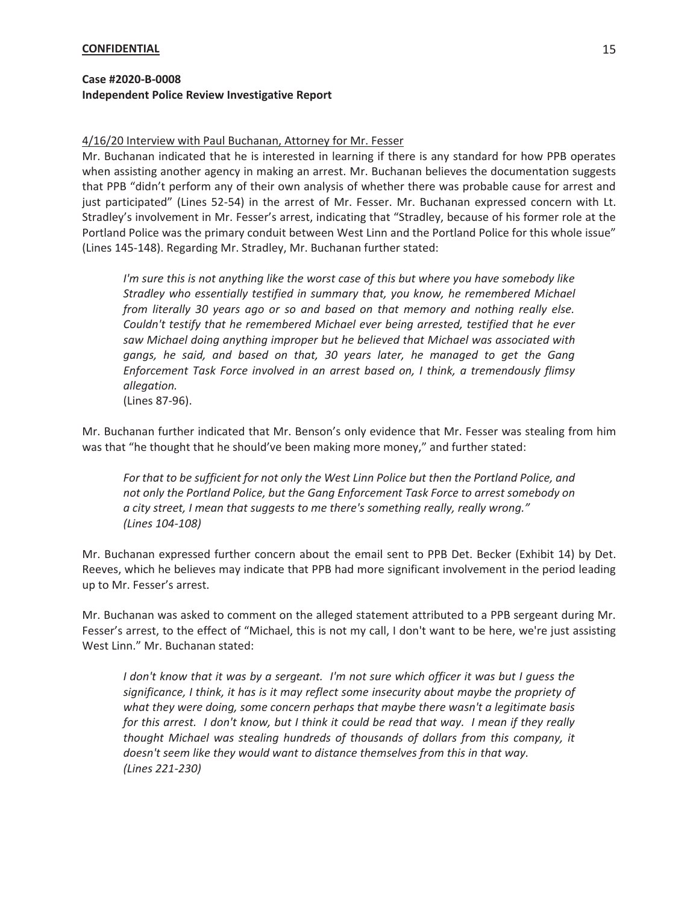# **Case #2020-B-0008 Independent Police Review Investigative Report**

#### 4/16/20 Interview with Paul Buchanan, Attorney for Mr. Fesser

Mr. Buchanan indicated that he is interested in learning if there is any standard for how PPB operates when assisting another agency in making an arrest. Mr. Buchanan believes the documentation suggests that PPB "didn't perform any of their own analysis of whether there was probable cause for arrest and just participated" (Lines 52-54) in the arrest of Mr. Fesser. Mr. Buchanan expressed concern with Lt. Stradley's involvement in Mr. Fesser's arrest, indicating that "Stradley, because of his former role at the Portland Police was the primary conduit between West Linn and the Portland Police for this whole issue" (Lines 145-148). Regarding Mr. Stradley, Mr. Buchanan further stated:

*I'm sure this is not anything like the worst case of this but where you have somebody like Stradley who essentially testified in summary that, you know, he remembered Michael from literally 30 years ago or so and based on that memory and nothing really else. Couldn't testify that he remembered Michael ever being arrested, testified that he ever saw Michael doing anything improper but he believed that Michael was associated with gangs, he said, and based on that, 30 years later, he managed to get the Gang Enforcement Task Force involved in an arrest based on, I think, a tremendously flimsy allegation.* 

(Lines 87-96).

Mr. Buchanan further indicated that Mr. Benson's only evidence that Mr. Fesser was stealing from him was that "he thought that he should've been making more money," and further stated:

For that to be sufficient for not only the West Linn Police but then the Portland Police, and *not only the Portland Police, but the Gang Enforcement Task Force to arrest somebody on a city street, I mean that suggests to me there's something really, really wrong." (Lines 104-108)* 

Mr. Buchanan expressed further concern about the email sent to PPB Det. Becker (Exhibit 14) by Det. Reeves, which he believes may indicate that PPB had more significant involvement in the period leading up to Mr. Fesser's arrest.

Mr. Buchanan was asked to comment on the alleged statement attributed to a PPB sergeant during Mr. Fesser's arrest, to the effect of "Michael, this is not my call, I don't want to be here, we're just assisting West Linn." Mr. Buchanan stated:

*I don't know that it was by a sergeant. I'm not sure which officer it was but I guess the significance, I think, it has is it may reflect some insecurity about maybe the propriety of what they were doing, some concern perhaps that maybe there wasn't a legitimate basis*  for this arrest. I don't know, but I think it could be read that way. I mean if they really *thought Michael was stealing hundreds of thousands of dollars from this company, it doesn't seem like they would want to distance themselves from this in that way. (Lines 221-230)*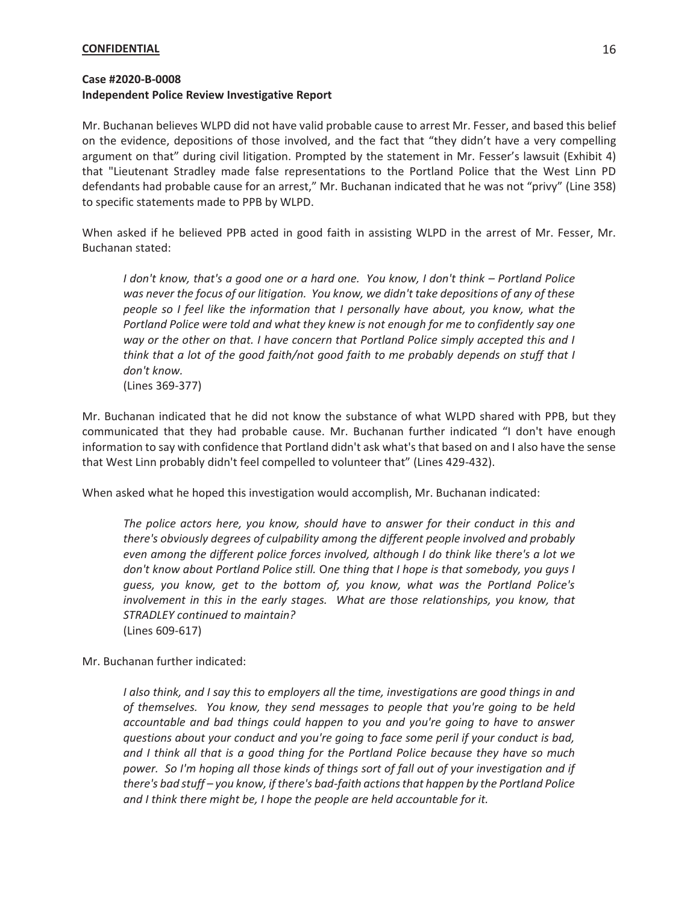Mr. Buchanan believes WLPD did not have valid probable cause to arrest Mr. Fesser, and based this belief on the evidence, depositions of those involved, and the fact that "they didn't have a very compelling argument on that" during civil litigation. Prompted by the statement in Mr. Fesser's lawsuit (Exhibit 4) that "Lieutenant Stradley made false representations to the Portland Police that the West Linn PD defendants had probable cause for an arrest," Mr. Buchanan indicated that he was not "privy" (Line 358) to specific statements made to PPB by WLPD.

When asked if he believed PPB acted in good faith in assisting WLPD in the arrest of Mr. Fesser, Mr. Buchanan stated:

*I don't know, that's a good one or a hard one. You know, I don't think – Portland Police was never the focus of our litigation. You know, we didn't take depositions of any of these people so I feel like the information that I personally have about, you know, what the Portland Police were told and what they knew is not enough for me to confidently say one way or the other on that. I have concern that Portland Police simply accepted this and I think that a lot of the good faith/not good faith to me probably depends on stuff that I don't know.* 

(Lines 369-377)

Mr. Buchanan indicated that he did not know the substance of what WLPD shared with PPB, but they communicated that they had probable cause. Mr. Buchanan further indicated "I don't have enough information to say with confidence that Portland didn't ask what's that based on and I also have the sense that West Linn probably didn't feel compelled to volunteer that" (Lines 429-432).

When asked what he hoped this investigation would accomplish, Mr. Buchanan indicated:

*The police actors here, you know, should have to answer for their conduct in this and there's obviously degrees of culpability among the different people involved and probably even among the different police forces involved, although I do think like there's a lot we don't know about Portland Police still.* O*ne thing that I hope is that somebody, you guys I guess, you know, get to the bottom of, you know, what was the Portland Police's involvement in this in the early stages. What are those relationships, you know, that STRADLEY continued to maintain?*  (Lines 609-617)

Mr. Buchanan further indicated:

*I* also think, and *I* say this to employers all the time, investigations are good things in and *of themselves. You know, they send messages to people that you're going to be held accountable and bad things could happen to you and you're going to have to answer questions about your conduct and you're going to face some peril if your conduct is bad, and I think all that is a good thing for the Portland Police because they have so much power. So I'm hoping all those kinds of things sort of fall out of your investigation and if there's bad stuff – you know, if there's bad-faith actions that happen by the Portland Police and I think there might be, I hope the people are held accountable for it.*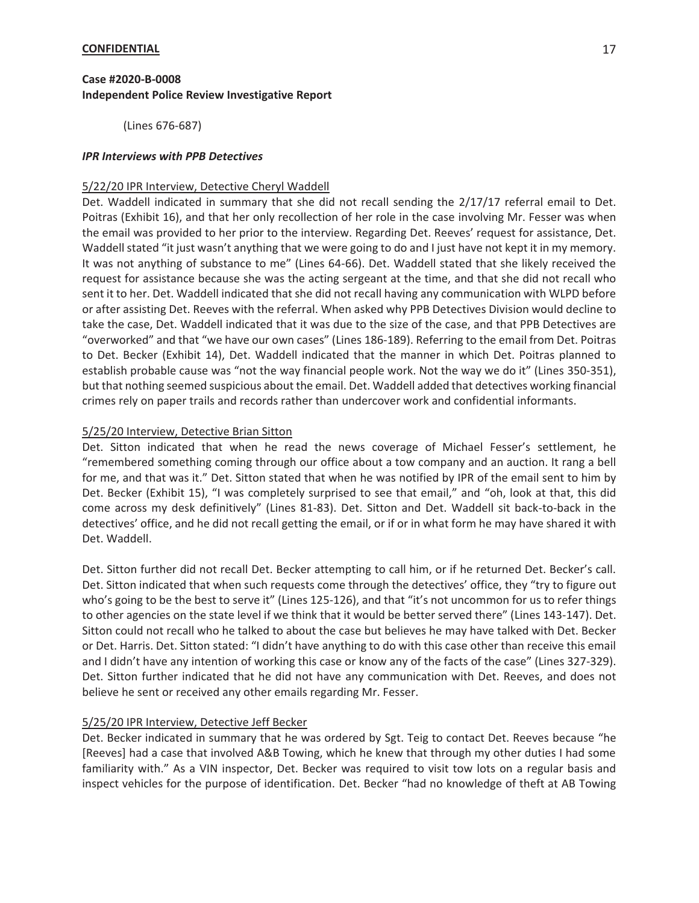(Lines 676-687)

## *IPR Interviews with PPB Detectives*

## 5/22/20 IPR Interview, Detective Cheryl Waddell

Det. Waddell indicated in summary that she did not recall sending the 2/17/17 referral email to Det. Poitras (Exhibit 16), and that her only recollection of her role in the case involving Mr. Fesser was when the email was provided to her prior to the interview. Regarding Det. Reeves' request for assistance, Det. Waddell stated "it just wasn't anything that we were going to do and I just have not kept it in my memory. It was not anything of substance to me" (Lines 64-66). Det. Waddell stated that she likely received the request for assistance because she was the acting sergeant at the time, and that she did not recall who sent it to her. Det. Waddell indicated that she did not recall having any communication with WLPD before or after assisting Det. Reeves with the referral. When asked why PPB Detectives Division would decline to take the case, Det. Waddell indicated that it was due to the size of the case, and that PPB Detectives are "overworked" and that "we have our own cases" (Lines 186-189). Referring to the email from Det. Poitras to Det. Becker (Exhibit 14), Det. Waddell indicated that the manner in which Det. Poitras planned to establish probable cause was "not the way financial people work. Not the way we do it" (Lines 350-351), but that nothing seemed suspicious about the email. Det. Waddell added that detectives working financial crimes rely on paper trails and records rather than undercover work and confidential informants.

## 5/25/20 Interview, Detective Brian Sitton

Det. Sitton indicated that when he read the news coverage of Michael Fesser's settlement, he "remembered something coming through our office about a tow company and an auction. It rang a bell for me, and that was it." Det. Sitton stated that when he was notified by IPR of the email sent to him by Det. Becker (Exhibit 15), "I was completely surprised to see that email," and "oh, look at that, this did come across my desk definitively" (Lines 81-83). Det. Sitton and Det. Waddell sit back-to-back in the detectives' office, and he did not recall getting the email, or if or in what form he may have shared it with Det. Waddell.

Det. Sitton further did not recall Det. Becker attempting to call him, or if he returned Det. Becker's call. Det. Sitton indicated that when such requests come through the detectives' office, they "try to figure out who's going to be the best to serve it" (Lines 125-126), and that "it's not uncommon for us to refer things to other agencies on the state level if we think that it would be better served there" (Lines 143-147). Det. Sitton could not recall who he talked to about the case but believes he may have talked with Det. Becker or Det. Harris. Det. Sitton stated: "I didn't have anything to do with this case other than receive this email and I didn't have any intention of working this case or know any of the facts of the case" (Lines 327-329). Det. Sitton further indicated that he did not have any communication with Det. Reeves, and does not believe he sent or received any other emails regarding Mr. Fesser.

# 5/25/20 IPR Interview, Detective Jeff Becker

Det. Becker indicated in summary that he was ordered by Sgt. Teig to contact Det. Reeves because "he [Reeves] had a case that involved A&B Towing, which he knew that through my other duties I had some familiarity with." As a VIN inspector, Det. Becker was required to visit tow lots on a regular basis and inspect vehicles for the purpose of identification. Det. Becker "had no knowledge of theft at AB Towing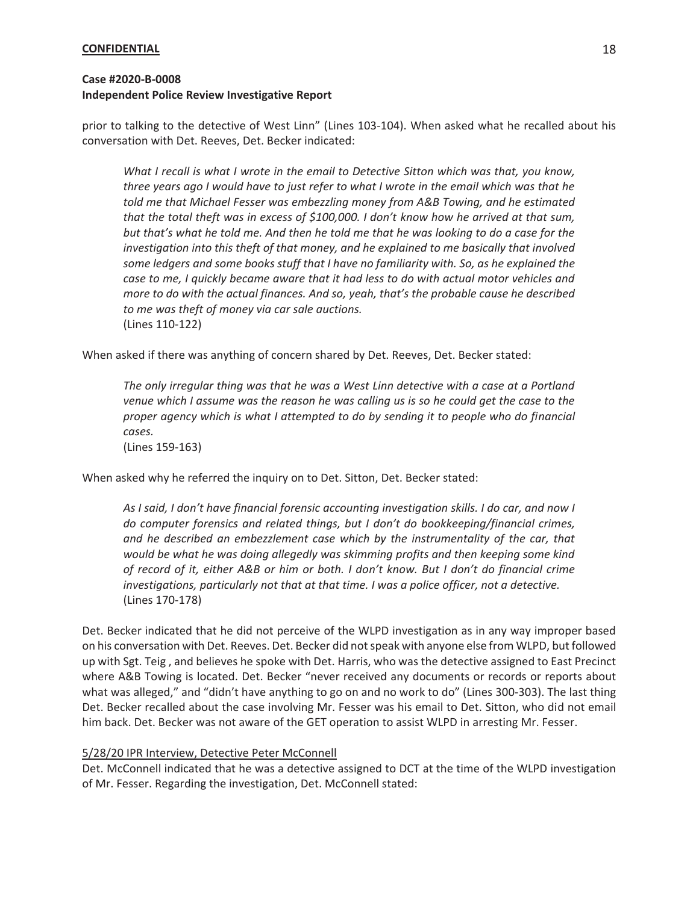prior to talking to the detective of West Linn" (Lines 103-104). When asked what he recalled about his conversation with Det. Reeves, Det. Becker indicated:

*What I recall is what I wrote in the email to Detective Sitton which was that, you know, three years ago I would have to just refer to what I wrote in the email which was that he told me that Michael Fesser was embezzling money from A&B Towing, and he estimated that the total theft was in excess of \$100,000. I don't know how he arrived at that sum, but that's what he told me. And then he told me that he was looking to do a case for the investigation into this theft of that money, and he explained to me basically that involved some ledgers and some books stuff that I have no familiarity with. So, as he explained the case to me, I quickly became aware that it had less to do with actual motor vehicles and more to do with the actual finances. And so, yeah, that's the probable cause he described to me was theft of money via car sale auctions.*  (Lines 110-122)

When asked if there was anything of concern shared by Det. Reeves, Det. Becker stated:

*The only irregular thing was that he was a West Linn detective with a case at a Portland venue which I assume was the reason he was calling us is so he could get the case to the proper agency which is what I attempted to do by sending it to people who do financial cases.* 

(Lines 159-163)

When asked why he referred the inquiry on to Det. Sitton, Det. Becker stated:

*As I said, I don't have financial forensic accounting investigation skills. I do car, and now I do computer forensics and related things, but I don't do bookkeeping/financial crimes,*  and he described an embezzlement case which by the instrumentality of the car, that *would be what he was doing allegedly was skimming profits and then keeping some kind of record of it, either A&B or him or both. I don't know. But I don't do financial crime investigations, particularly not that at that time. I was a police officer, not a detective.*  (Lines 170-178)

Det. Becker indicated that he did not perceive of the WLPD investigation as in any way improper based on his conversation with Det. Reeves. Det. Becker did not speak with anyone else from WLPD, but followed up with Sgt. Teig , and believes he spoke with Det. Harris, who was the detective assigned to East Precinct where A&B Towing is located. Det. Becker "never received any documents or records or reports about what was alleged," and "didn't have anything to go on and no work to do" (Lines 300-303). The last thing Det. Becker recalled about the case involving Mr. Fesser was his email to Det. Sitton, who did not email him back. Det. Becker was not aware of the GET operation to assist WLPD in arresting Mr. Fesser.

### 5/28/20 IPR Interview, Detective Peter McConnell

Det. McConnell indicated that he was a detective assigned to DCT at the time of the WLPD investigation of Mr. Fesser. Regarding the investigation, Det. McConnell stated: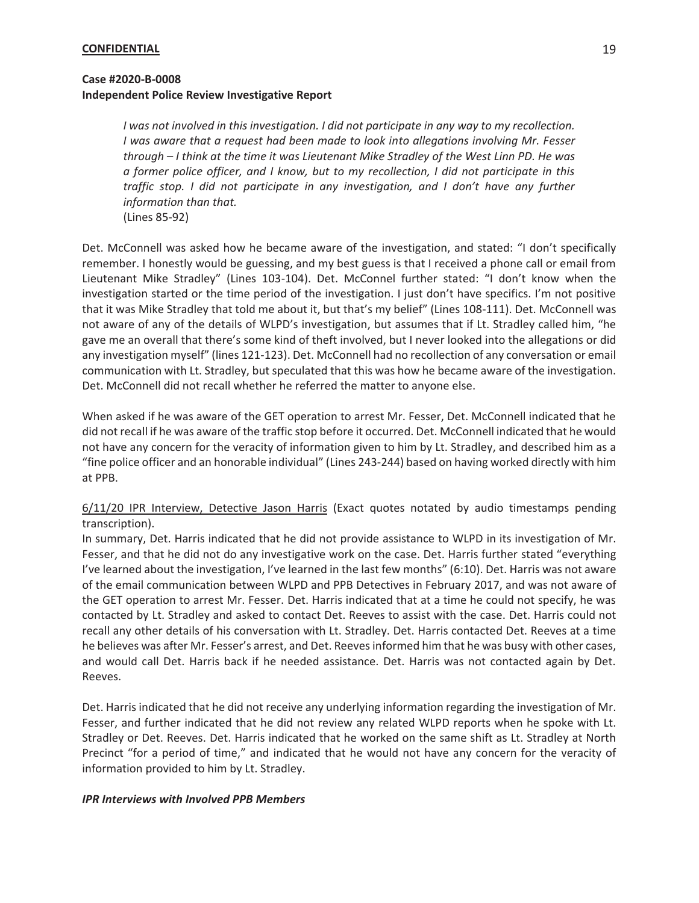# **Case #2020-B-0008 Independent Police Review Investigative Report**

*I was not involved in this investigation. I did not participate in any way to my recollection. I was aware that a request had been made to look into allegations involving Mr. Fesser through – I think at the time it was Lieutenant Mike Stradley of the West Linn PD. He was a former police officer, and I know, but to my recollection, I did not participate in this traffic stop. I did not participate in any investigation, and I don't have any further information than that.*  (Lines 85-92)

Det. McConnell was asked how he became aware of the investigation, and stated: "I don't specifically remember. I honestly would be guessing, and my best guess is that I received a phone call or email from Lieutenant Mike Stradley" (Lines 103-104). Det. McConnel further stated: "I don't know when the investigation started or the time period of the investigation. I just don't have specifics. I'm not positive that it was Mike Stradley that told me about it, but that's my belief" (Lines 108-111). Det. McConnell was not aware of any of the details of WLPD's investigation, but assumes that if Lt. Stradley called him, "he gave me an overall that there's some kind of theft involved, but I never looked into the allegations or did any investigation myself" (lines 121-123). Det. McConnell had no recollection of any conversation or email communication with Lt. Stradley, but speculated that this was how he became aware of the investigation. Det. McConnell did not recall whether he referred the matter to anyone else.

When asked if he was aware of the GET operation to arrest Mr. Fesser, Det. McConnell indicated that he did not recall if he was aware of the traffic stop before it occurred. Det. McConnell indicated that he would not have any concern for the veracity of information given to him by Lt. Stradley, and described him as a "fine police officer and an honorable individual" (Lines 243-244) based on having worked directly with him at PPB.

6/11/20 IPR Interview, Detective Jason Harris (Exact quotes notated by audio timestamps pending transcription).

In summary, Det. Harris indicated that he did not provide assistance to WLPD in its investigation of Mr. Fesser, and that he did not do any investigative work on the case. Det. Harris further stated "everything I've learned about the investigation, I've learned in the last few months" (6:10). Det. Harris was not aware of the email communication between WLPD and PPB Detectives in February 2017, and was not aware of the GET operation to arrest Mr. Fesser. Det. Harris indicated that at a time he could not specify, he was contacted by Lt. Stradley and asked to contact Det. Reeves to assist with the case. Det. Harris could not recall any other details of his conversation with Lt. Stradley. Det. Harris contacted Det. Reeves at a time he believes was after Mr. Fesser's arrest, and Det. Reeves informed him that he was busy with other cases, and would call Det. Harris back if he needed assistance. Det. Harris was not contacted again by Det. Reeves.

Det. Harris indicated that he did not receive any underlying information regarding the investigation of Mr. Fesser, and further indicated that he did not review any related WLPD reports when he spoke with Lt. Stradley or Det. Reeves. Det. Harris indicated that he worked on the same shift as Lt. Stradley at North Precinct "for a period of time," and indicated that he would not have any concern for the veracity of information provided to him by Lt. Stradley.

### *IPR Interviews with Involved PPB Members*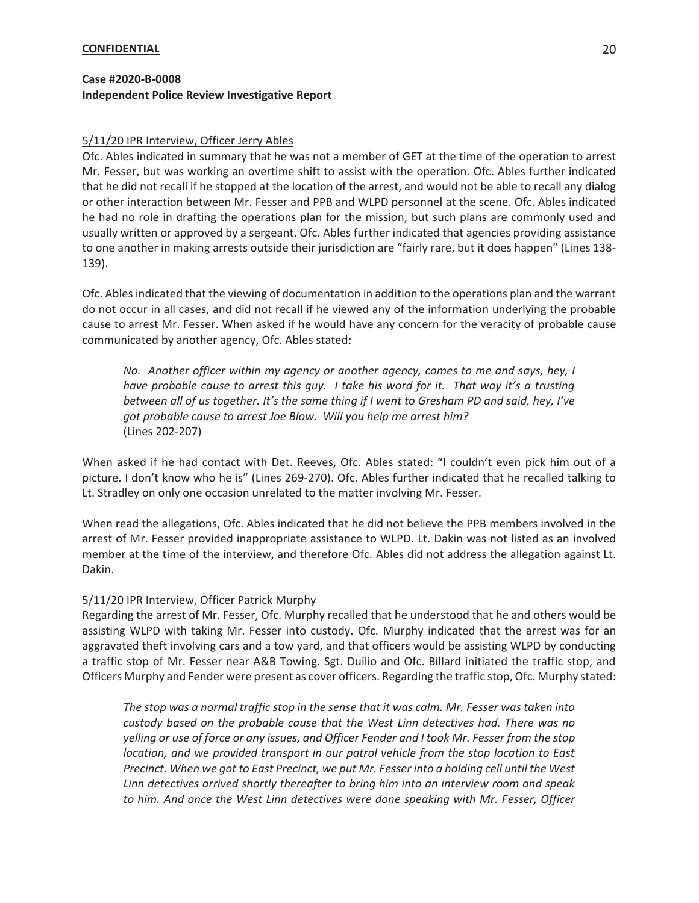## **Case #2020-B-0008 Independent Police Review Investigative Report**

### 5/11/20 IPR Interview, Officer Jerry Ables

Ofc. Ables indicated in summary that he was not a member of GET at the time of the operation to arrest Mr. Fesser, but was working an overtime shift to assist with the operation. Ofc. Ables further indicated that he did not recall if he stopped at the location of the arrest, and would not be able to recall any dialog or other interaction between Mr. Fesser and PPB and WLPD personnel at the scene. Ofc. Ables indicated he had no role in drafting the operations plan for the mission, but such plans are commonly used and usually written or approved by a sergeant. Ofc. Ables further indicated that agencies providing assistance to one another in making arrests outside their jurisdiction are "fairly rare, but it does happen" (Lines 138- 139).

Ofc. Ables indicated that the viewing of documentation in addition to the operations plan and the warrant do not occur in all cases, and did not recall if he viewed any of the information underlying the probable cause to arrest Mr. Fesser. When asked if he would have any concern for the veracity of probable cause communicated by another agency, Ofc. Ables stated:

*No. Another officer within my agency or another agency, comes to me and says, hey, I have probable cause to arrest this guy. I take his word for it. That way it's a trusting between all of us together. It's the same thing if I went to Gresham PD and said, hey, I've got probable cause to arrest Joe Blow. Will you help me arrest him?*  (Lines 202-207)

When asked if he had contact with Det. Reeves, Ofc. Ables stated: "I couldn't even pick him out of a picture. I don't know who he is" (Lines 269-270). Ofc. Ables further indicated that he recalled talking to Lt. Stradley on only one occasion unrelated to the matter involving Mr. Fesser.

When read the allegations, Ofc. Ables indicated that he did not believe the PPB members involved in the arrest of Mr. Fesser provided inappropriate assistance to WLPD. Lt. Dakin was not listed as an involved member at the time of the interview, and therefore Ofc. Ables did not address the allegation against Lt. Dakin.

### 5/11/20 IPR Interview, Officer Patrick Murphy

Regarding the arrest of Mr. Fesser, Ofc. Murphy recalled that he understood that he and others would be assisting WLPD with taking Mr. Fesser into custody. Ofc. Murphy indicated that the arrest was for an aggravated theft involving cars and a tow yard, and that officers would be assisting WLPD by conducting a traffic stop of Mr. Fesser near A&B Towing. Sgt. Duilio and Ofc. Billard initiated the traffic stop, and Officers Murphy and Fender were present as cover officers. Regarding the traffic stop, Ofc. Murphy stated:

*The stop was a normal traffic stop in the sense that it was calm. Mr. Fesser was taken into custody based on the probable cause that the West Linn detectives had. There was no yelling or use of force or any issues, and Officer Fender and I took Mr. Fesser from the stop location, and we provided transport in our patrol vehicle from the stop location to East Precinct. When we got to East Precinct, we put Mr. Fesser into a holding cell until the West Linn detectives arrived shortly thereafter to bring him into an interview room and speak to him. And once the West Linn detectives were done speaking with Mr. Fesser, Officer*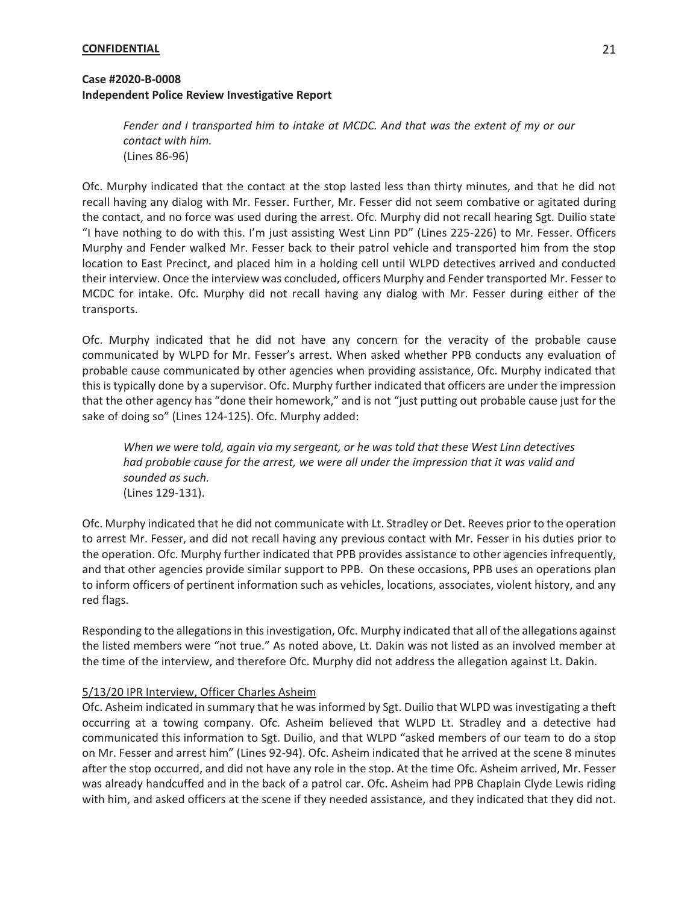# **Case #2020-B-0008 Independent Police Review Investigative Report**

*Fender and I transported him to intake at MCDC. And that was the extent of my or our contact with him.*  (Lines 86-96)

Ofc. Murphy indicated that the contact at the stop lasted less than thirty minutes, and that he did not recall having any dialog with Mr. Fesser. Further, Mr. Fesser did not seem combative or agitated during the contact, and no force was used during the arrest. Ofc. Murphy did not recall hearing Sgt. Duilio state "I have nothing to do with this. I'm just assisting West Linn PD" (Lines 225-226) to Mr. Fesser. Officers Murphy and Fender walked Mr. Fesser back to their patrol vehicle and transported him from the stop location to East Precinct, and placed him in a holding cell until WLPD detectives arrived and conducted their interview. Once the interview was concluded, officers Murphy and Fender transported Mr. Fesser to MCDC for intake. Ofc. Murphy did not recall having any dialog with Mr. Fesser during either of the transports.

Ofc. Murphy indicated that he did not have any concern for the veracity of the probable cause communicated by WLPD for Mr. Fesser's arrest. When asked whether PPB conducts any evaluation of probable cause communicated by other agencies when providing assistance, Ofc. Murphy indicated that this is typically done by a supervisor. Ofc. Murphy further indicated that officers are under the impression that the other agency has "done their homework," and is not "just putting out probable cause just for the sake of doing so" (Lines 124-125). Ofc. Murphy added:

*When we were told, again via my sergeant, or he was told that these West Linn detectives*  had probable cause for the arrest, we were all under the impression that it was valid and *sounded as such.*  (Lines 129-131).

Ofc. Murphy indicated that he did not communicate with Lt. Stradley or Det. Reeves prior to the operation to arrest Mr. Fesser, and did not recall having any previous contact with Mr. Fesser in his duties prior to the operation. Ofc. Murphy further indicated that PPB provides assistance to other agencies infrequently, and that other agencies provide similar support to PPB. On these occasions, PPB uses an operations plan to inform officers of pertinent information such as vehicles, locations, associates, violent history, and any red flags.

Responding to the allegations in this investigation, Ofc. Murphy indicated that all of the allegations against the listed members were "not true." As noted above, Lt. Dakin was not listed as an involved member at the time of the interview, and therefore Ofc. Murphy did not address the allegation against Lt. Dakin.

### 5/13/20 IPR Interview, Officer Charles Asheim

Ofc. Asheim indicated in summary that he was informed by Sgt. Duilio that WLPD was investigating a theft occurring at a towing company. Ofc. Asheim believed that WLPD Lt. Stradley and a detective had communicated this information to Sgt. Duilio, and that WLPD "asked members of our team to do a stop on Mr. Fesser and arrest him" (Lines 92-94). Ofc. Asheim indicated that he arrived at the scene 8 minutes after the stop occurred, and did not have any role in the stop. At the time Ofc. Asheim arrived, Mr. Fesser was already handcuffed and in the back of a patrol car. Ofc. Asheim had PPB Chaplain Clyde Lewis riding with him, and asked officers at the scene if they needed assistance, and they indicated that they did not.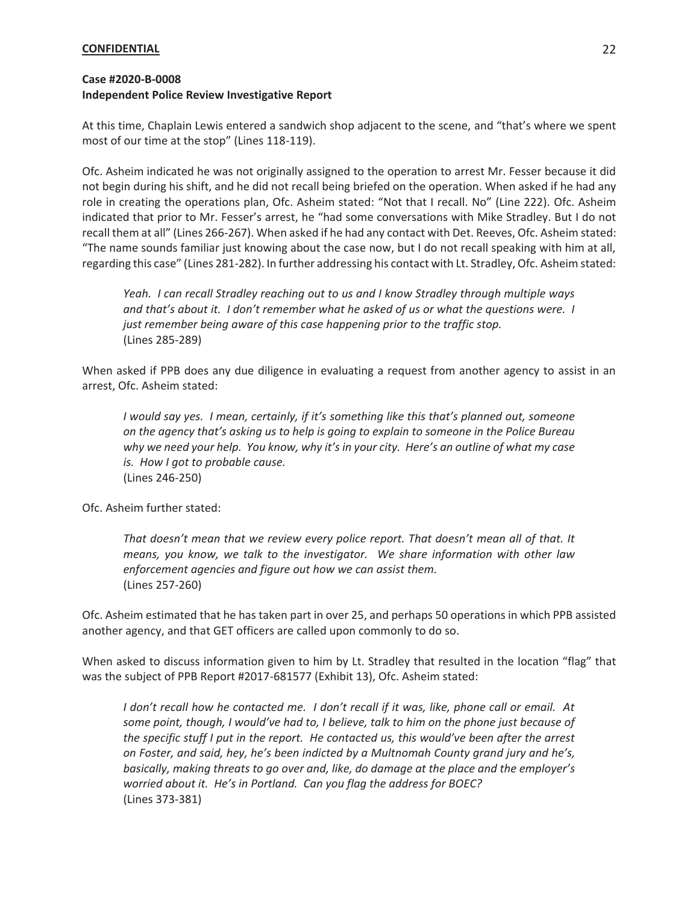At this time, Chaplain Lewis entered a sandwich shop adjacent to the scene, and "that's where we spent most of our time at the stop" (Lines 118-119).

Ofc. Asheim indicated he was not originally assigned to the operation to arrest Mr. Fesser because it did not begin during his shift, and he did not recall being briefed on the operation. When asked if he had any role in creating the operations plan, Ofc. Asheim stated: "Not that I recall. No" (Line 222). Ofc. Asheim indicated that prior to Mr. Fesser's arrest, he "had some conversations with Mike Stradley. But I do not recall them at all" (Lines 266-267). When asked if he had any contact with Det. Reeves, Ofc. Asheim stated: "The name sounds familiar just knowing about the case now, but I do not recall speaking with him at all, regarding this case" (Lines 281-282). In further addressing his contact with Lt. Stradley, Ofc. Asheim stated:

*Yeah. I can recall Stradley reaching out to us and I know Stradley through multiple ways and that's about it. I don't remember what he asked of us or what the questions were. I just remember being aware of this case happening prior to the traffic stop.*  (Lines 285-289)

When asked if PPB does any due diligence in evaluating a request from another agency to assist in an arrest, Ofc. Asheim stated:

*I would say yes. I mean, certainly, if it's something like this that's planned out, someone on the agency that's asking us to help is going to explain to someone in the Police Bureau why we need your help. You know, why it's in your city. Here's an outline of what my case is. How I got to probable cause.*  (Lines 246-250)

Ofc. Asheim further stated:

*That doesn't mean that we review every police report. That doesn't mean all of that. It means, you know, we talk to the investigator. We share information with other law enforcement agencies and figure out how we can assist them.*  (Lines 257-260)

Ofc. Asheim estimated that he has taken part in over 25, and perhaps 50 operations in which PPB assisted another agency, and that GET officers are called upon commonly to do so.

When asked to discuss information given to him by Lt. Stradley that resulted in the location "flag" that was the subject of PPB Report #2017-681577 (Exhibit 13), Ofc. Asheim stated:

*I don't recall how he contacted me. I don't recall if it was, like, phone call or email. At some point, though, I would've had to, I believe, talk to him on the phone just because of the specific stuff I put in the report. He contacted us, this would've been after the arrest on Foster, and said, hey, he's been indicted by a Multnomah County grand jury and he's, basically, making threats to go over and, like, do damage at the place and the employer's worried about it. He's in Portland. Can you flag the address for BOEC?*  (Lines 373-381)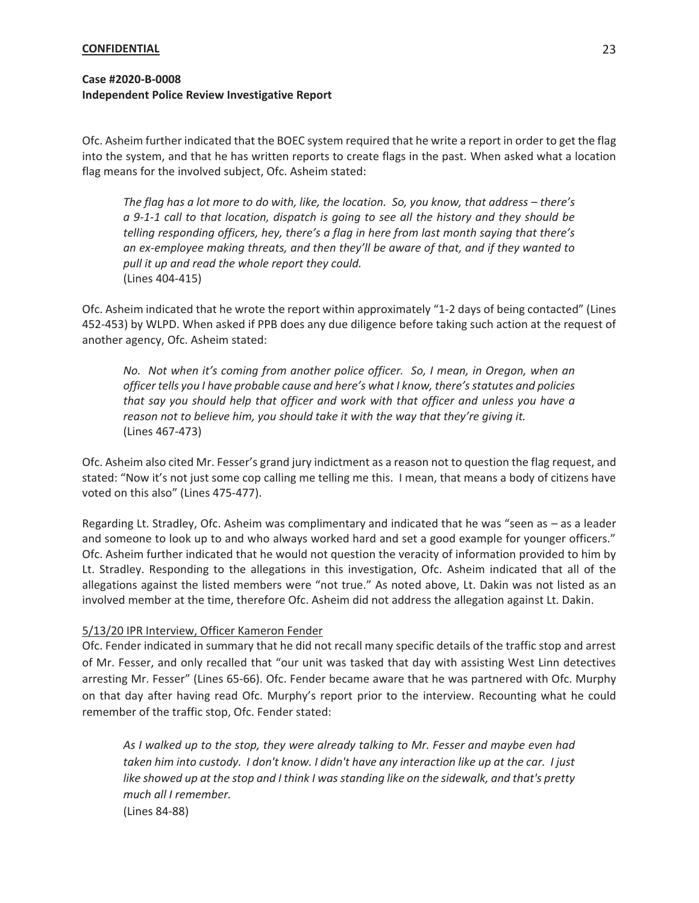# **Case #2020-B-0008 Independent Police Review Investigative Report**

Ofc. Asheim further indicated that the BOEC system required that he write a report in order to get the flag into the system, and that he has written reports to create flags in the past. When asked what a location flag means for the involved subject, Ofc. Asheim stated:

*The flag has a lot more to do with, like, the location. So, you know, that address – there's a 9-1-1 call to that location, dispatch is going to see all the history and they should be telling responding officers, hey, there's a flag in here from last month saying that there's an ex-employee making threats, and then they'll be aware of that, and if they wanted to pull it up and read the whole report they could.*  (Lines 404-415)

Ofc. Asheim indicated that he wrote the report within approximately "1-2 days of being contacted" (Lines 452-453) by WLPD. When asked if PPB does any due diligence before taking such action at the request of another agency, Ofc. Asheim stated:

*No. Not when it's coming from another police officer. So, I mean, in Oregon, when an officer tells you I have probable cause and here's what I know, there's statutes and policies that say you should help that officer and work with that officer and unless you have a reason not to believe him, you should take it with the way that they're giving it.*  (Lines 467-473)

Ofc. Asheim also cited Mr. Fesser's grand jury indictment as a reason not to question the flag request, and stated: "Now it's not just some cop calling me telling me this. I mean, that means a body of citizens have voted on this also" (Lines 475-477).

Regarding Lt. Stradley, Ofc. Asheim was complimentary and indicated that he was "seen as – as a leader and someone to look up to and who always worked hard and set a good example for younger officers." Ofc. Asheim further indicated that he would not question the veracity of information provided to him by Lt. Stradley. Responding to the allegations in this investigation, Ofc. Asheim indicated that all of the allegations against the listed members were "not true." As noted above, Lt. Dakin was not listed as an involved member at the time, therefore Ofc. Asheim did not address the allegation against Lt. Dakin.

### 5/13/20 IPR Interview, Officer Kameron Fender

Ofc. Fender indicated in summary that he did not recall many specific details of the traffic stop and arrest of Mr. Fesser, and only recalled that "our unit was tasked that day with assisting West Linn detectives arresting Mr. Fesser" (Lines 65-66). Ofc. Fender became aware that he was partnered with Ofc. Murphy on that day after having read Ofc. Murphy's report prior to the interview. Recounting what he could remember of the traffic stop, Ofc. Fender stated:

*As I walked up to the stop, they were already talking to Mr. Fesser and maybe even had taken him into custody. I don't know. I didn't have any interaction like up at the car. I just like showed up at the stop and I think I was standing like on the sidewalk, and that's pretty much all I remember.*  (Lines 84-88)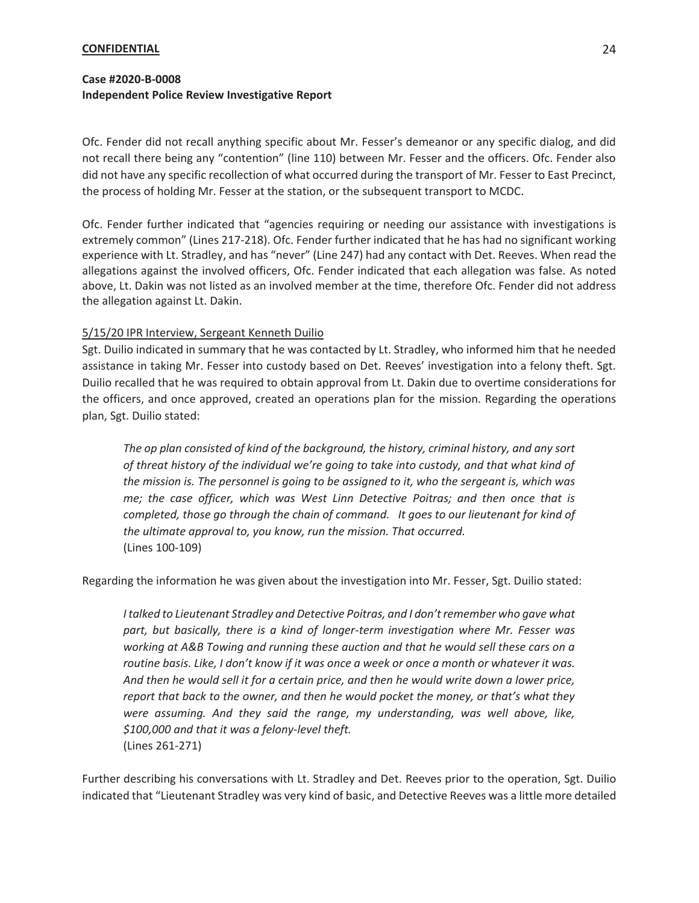# **Case #2020-B-0008 Independent Police Review Investigative Report**

Ofc. Fender did not recall anything specific about Mr. Fesser's demeanor or any specific dialog, and did not recall there being any "contention" (line 110) between Mr. Fesser and the officers. Ofc. Fender also did not have any specific recollection of what occurred during the transport of Mr. Fesser to East Precinct, the process of holding Mr. Fesser at the station, or the subsequent transport to MCDC.

Ofc. Fender further indicated that "agencies requiring or needing our assistance with investigations is extremely common" (Lines 217-218). Ofc. Fender further indicated that he has had no significant working experience with Lt. Stradley, and has "never" (Line 247) had any contact with Det. Reeves. When read the allegations against the involved officers, Ofc. Fender indicated that each allegation was false. As noted above, Lt. Dakin was not listed as an involved member at the time, therefore Ofc. Fender did not address the allegation against Lt. Dakin.

## 5/15/20 IPR Interview, Sergeant Kenneth Duilio

Sgt. Duilio indicated in summary that he was contacted by Lt. Stradley, who informed him that he needed assistance in taking Mr. Fesser into custody based on Det. Reeves' investigation into a felony theft. Sgt. Duilio recalled that he was required to obtain approval from Lt. Dakin due to overtime considerations for the officers, and once approved, created an operations plan for the mission. Regarding the operations plan, Sgt. Duilio stated:

*The op plan consisted of kind of the background, the history, criminal history, and any sort of threat history of the individual we're going to take into custody, and that what kind of the mission is. The personnel is going to be assigned to it, who the sergeant is, which was me; the case officer, which was West Linn Detective Poitras; and then once that is completed, those go through the chain of command. It goes to our lieutenant for kind of the ultimate approval to, you know, run the mission. That occurred.*  (Lines 100-109)

Regarding the information he was given about the investigation into Mr. Fesser, Sgt. Duilio stated:

*I talked to Lieutenant Stradley and Detective Poitras, and I don't remember who gave what part, but basically, there is a kind of longer-term investigation where Mr. Fesser was working at A&B Towing and running these auction and that he would sell these cars on a routine basis. Like, I don't know if it was once a week or once a month or whatever it was. And then he would sell it for a certain price, and then he would write down a lower price, report that back to the owner, and then he would pocket the money, or that's what they*  were assuming. And they said the range, my understanding, was well above, like, *\$100,000 and that it was a felony-level theft.*  (Lines 261-271)

Further describing his conversations with Lt. Stradley and Det. Reeves prior to the operation, Sgt. Duilio indicated that "Lieutenant Stradley was very kind of basic, and Detective Reeves was a little more detailed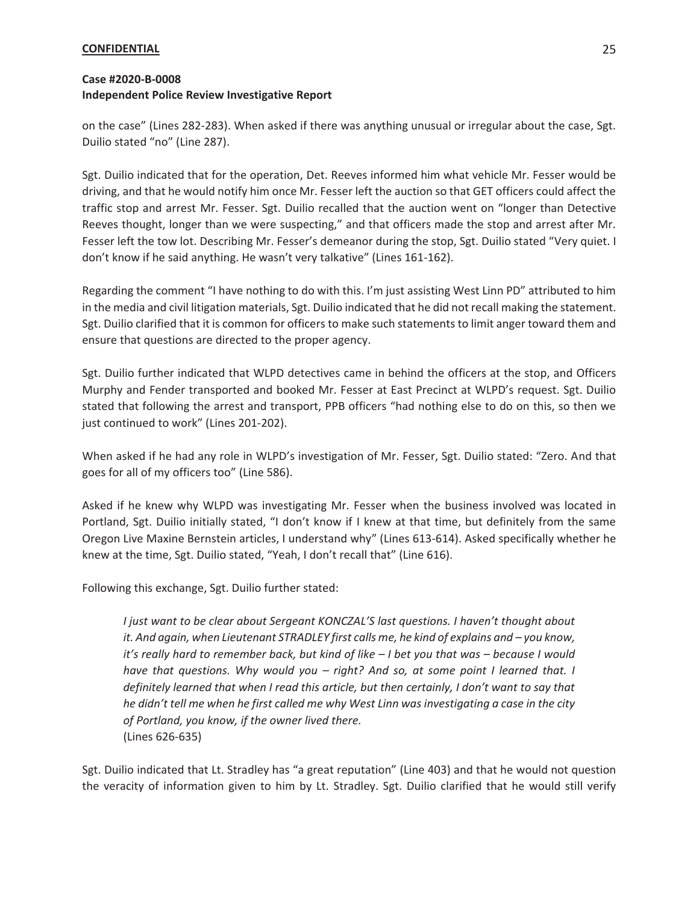# **Case #2020-B-0008 Independent Police Review Investigative Report**

on the case" (Lines 282-283). When asked if there was anything unusual or irregular about the case, Sgt. Duilio stated "no" (Line 287).

Sgt. Duilio indicated that for the operation, Det. Reeves informed him what vehicle Mr. Fesser would be driving, and that he would notify him once Mr. Fesser left the auction so that GET officers could affect the traffic stop and arrest Mr. Fesser. Sgt. Duilio recalled that the auction went on "longer than Detective Reeves thought, longer than we were suspecting," and that officers made the stop and arrest after Mr. Fesser left the tow lot. Describing Mr. Fesser's demeanor during the stop, Sgt. Duilio stated "Very quiet. I don't know if he said anything. He wasn't very talkative" (Lines 161-162).

Regarding the comment "I have nothing to do with this. I'm just assisting West Linn PD" attributed to him in the media and civil litigation materials, Sgt. Duilio indicated that he did not recall making the statement. Sgt. Duilio clarified that it is common for officers to make such statements to limit anger toward them and ensure that questions are directed to the proper agency.

Sgt. Duilio further indicated that WLPD detectives came in behind the officers at the stop, and Officers Murphy and Fender transported and booked Mr. Fesser at East Precinct at WLPD's request. Sgt. Duilio stated that following the arrest and transport, PPB officers "had nothing else to do on this, so then we just continued to work" (Lines 201-202).

When asked if he had any role in WLPD's investigation of Mr. Fesser, Sgt. Duilio stated: "Zero. And that goes for all of my officers too" (Line 586).

Asked if he knew why WLPD was investigating Mr. Fesser when the business involved was located in Portland, Sgt. Duilio initially stated, "I don't know if I knew at that time, but definitely from the same Oregon Live Maxine Bernstein articles, I understand why" (Lines 613-614). Asked specifically whether he knew at the time, Sgt. Duilio stated, "Yeah, I don't recall that" (Line 616).

Following this exchange, Sgt. Duilio further stated:

*I just want to be clear about Sergeant KONCZAL'S last questions. I haven't thought about it. And again, when Lieutenant STRADLEY first calls me, he kind of explains and – you know, it's really hard to remember back, but kind of like – I bet you that was – because I would have that questions. Why would you – right? And so, at some point I learned that. I definitely learned that when I read this article, but then certainly, I don't want to say that he didn't tell me when he first called me why West Linn was investigating a case in the city of Portland, you know, if the owner lived there.*  (Lines 626-635)

Sgt. Duilio indicated that Lt. Stradley has "a great reputation" (Line 403) and that he would not question the veracity of information given to him by Lt. Stradley. Sgt. Duilio clarified that he would still verify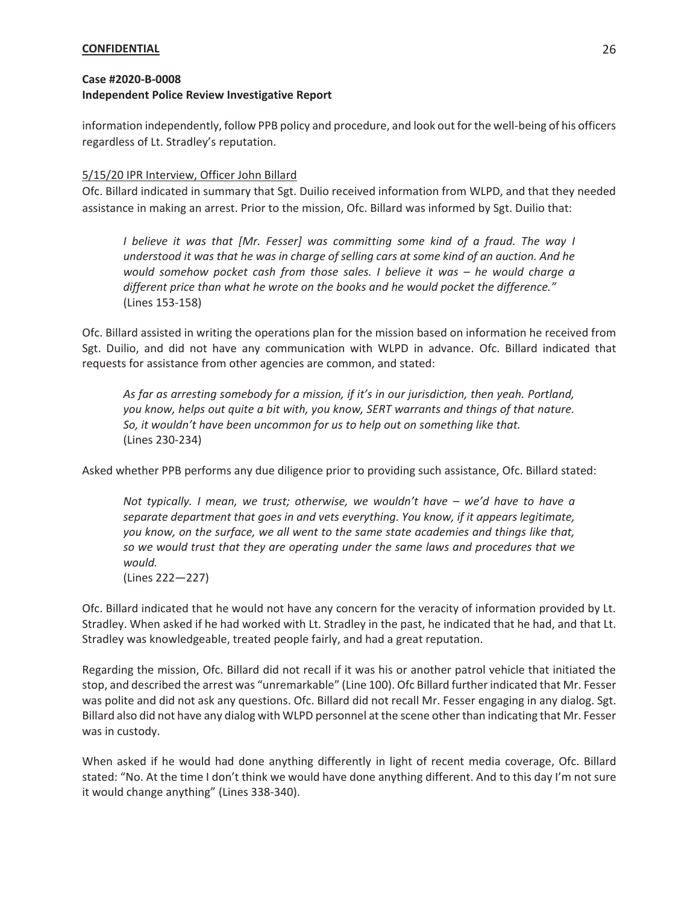# **Case #2020-B-0008 Independent Police Review Investigative Report**

information independently, follow PPB policy and procedure, and look out for the well-being of his officers regardless of Lt. Stradley's reputation.

## 5/15/20 IPR Interview, Officer John Billard

Ofc. Billard indicated in summary that Sgt. Duilio received information from WLPD, and that they needed assistance in making an arrest. Prior to the mission, Ofc. Billard was informed by Sgt. Duilio that:

*I believe it was that [Mr. Fesser] was committing some kind of a fraud. The way I understood it was that he was in charge of selling cars at some kind of an auction. And he would somehow pocket cash from those sales. I believe it was – he would charge a different price than what he wrote on the books and he would pocket the difference."*  (Lines 153-158)

Ofc. Billard assisted in writing the operations plan for the mission based on information he received from Sgt. Duilio, and did not have any communication with WLPD in advance. Ofc. Billard indicated that requests for assistance from other agencies are common, and stated:

*As far as arresting somebody for a mission, if it's in our jurisdiction, then yeah. Portland, you know, helps out quite a bit with, you know, SERT warrants and things of that nature. So, it wouldn't have been uncommon for us to help out on something like that.*  (Lines 230-234)

Asked whether PPB performs any due diligence prior to providing such assistance, Ofc. Billard stated:

*Not typically. I mean, we trust; otherwise, we wouldn't have – we'd have to have a separate department that goes in and vets everything. You know, if it appears legitimate, you know, on the surface, we all went to the same state academies and things like that, so we would trust that they are operating under the same laws and procedures that we would.*  (Lines 222—227)

Ofc. Billard indicated that he would not have any concern for the veracity of information provided by Lt. Stradley. When asked if he had worked with Lt. Stradley in the past, he indicated that he had, and that Lt. Stradley was knowledgeable, treated people fairly, and had a great reputation.

Regarding the mission, Ofc. Billard did not recall if it was his or another patrol vehicle that initiated the stop, and described the arrest was "unremarkable" (Line 100). Ofc Billard further indicated that Mr. Fesser was polite and did not ask any questions. Ofc. Billard did not recall Mr. Fesser engaging in any dialog. Sgt. Billard also did not have any dialog with WLPD personnel at the scene other than indicating that Mr. Fesser was in custody.

When asked if he would had done anything differently in light of recent media coverage, Ofc. Billard stated: "No. At the time I don't think we would have done anything different. And to this day I'm not sure it would change anything" (Lines 338-340).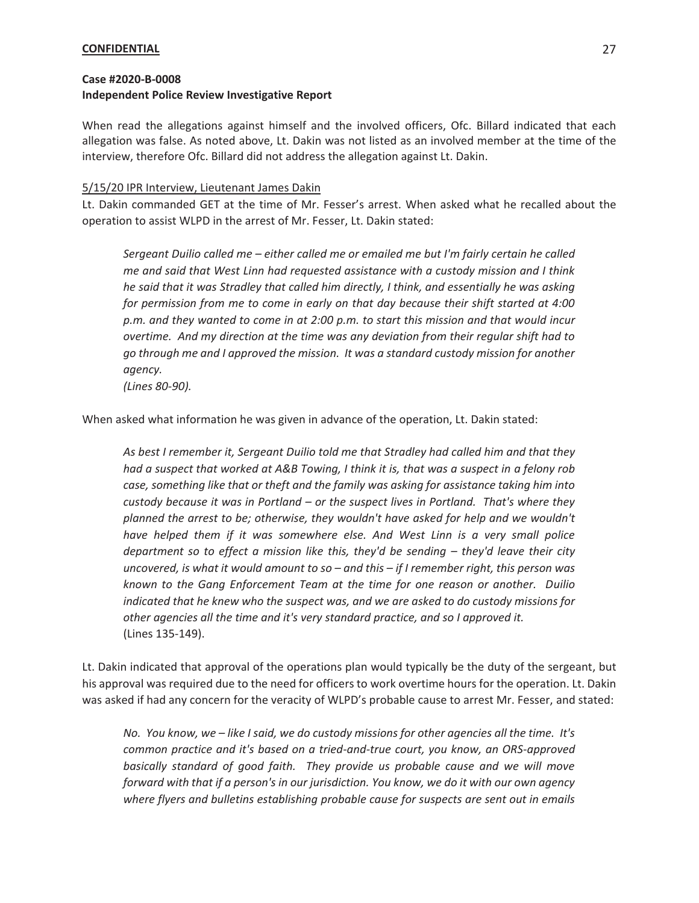#### **Case #2020-B-0008**

#### **Independent Police Review Investigative Report**

When read the allegations against himself and the involved officers, Ofc. Billard indicated that each allegation was false. As noted above, Lt. Dakin was not listed as an involved member at the time of the interview, therefore Ofc. Billard did not address the allegation against Lt. Dakin.

#### 5/15/20 IPR Interview, Lieutenant James Dakin

Lt. Dakin commanded GET at the time of Mr. Fesser's arrest. When asked what he recalled about the operation to assist WLPD in the arrest of Mr. Fesser, Lt. Dakin stated:

*Sergeant Duilio called me – either called me or emailed me but I'm fairly certain he called me and said that West Linn had requested assistance with a custody mission and I think he said that it was Stradley that called him directly, I think, and essentially he was asking for permission from me to come in early on that day because their shift started at 4:00 p.m. and they wanted to come in at 2:00 p.m. to start this mission and that would incur overtime. And my direction at the time was any deviation from their regular shift had to go through me and I approved the mission. It was a standard custody mission for another agency.* 

*(Lines 80-90).* 

When asked what information he was given in advance of the operation, Lt. Dakin stated:

*As best I remember it, Sergeant Duilio told me that Stradley had called him and that they had a suspect that worked at A&B Towing, I think it is, that was a suspect in a felony rob case, something like that or theft and the family was asking for assistance taking him into custody because it was in Portland – or the suspect lives in Portland. That's where they planned the arrest to be; otherwise, they wouldn't have asked for help and we wouldn't have helped them if it was somewhere else. And West Linn is a very small police department so to effect a mission like this, they'd be sending – they'd leave their city uncovered, is what it would amount to so – and this – if I remember right, this person was known to the Gang Enforcement Team at the time for one reason or another. Duilio indicated that he knew who the suspect was, and we are asked to do custody missions for other agencies all the time and it's very standard practice, and so I approved it.*  (Lines 135-149).

Lt. Dakin indicated that approval of the operations plan would typically be the duty of the sergeant, but his approval was required due to the need for officers to work overtime hours for the operation. Lt. Dakin was asked if had any concern for the veracity of WLPD's probable cause to arrest Mr. Fesser, and stated:

*No. You know, we – like I said, we do custody missions for other agencies all the time. It's common practice and it's based on a tried-and-true court, you know, an ORS-approved basically standard of good faith. They provide us probable cause and we will move forward with that if a person's in our jurisdiction. You know, we do it with our own agency where flyers and bulletins establishing probable cause for suspects are sent out in emails*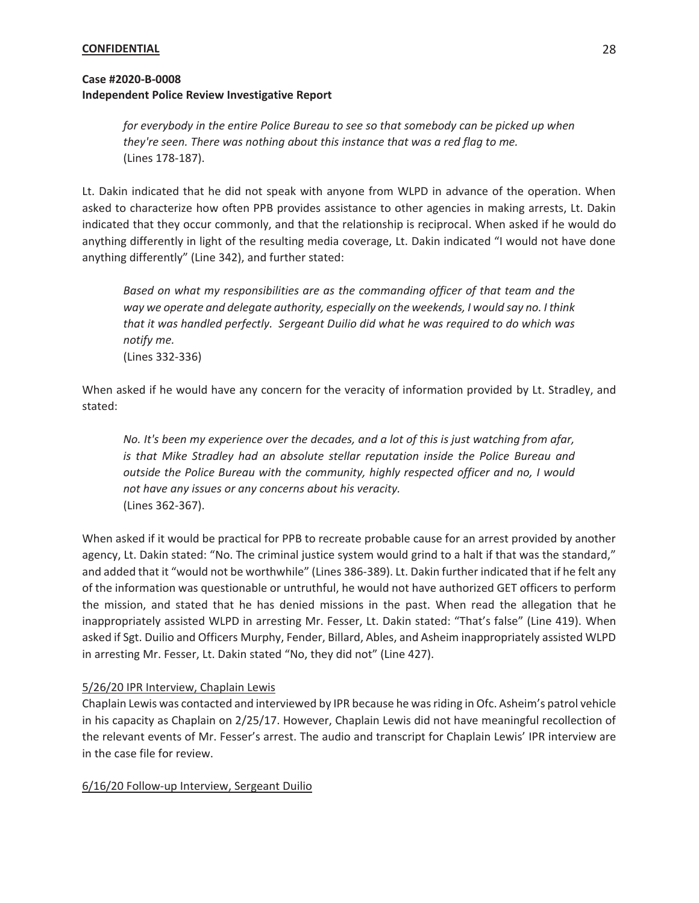# **Case #2020-B-0008 Independent Police Review Investigative Report**

*for everybody in the entire Police Bureau to see so that somebody can be picked up when they're seen. There was nothing about this instance that was a red flag to me.*  (Lines 178-187).

Lt. Dakin indicated that he did not speak with anyone from WLPD in advance of the operation. When asked to characterize how often PPB provides assistance to other agencies in making arrests, Lt. Dakin indicated that they occur commonly, and that the relationship is reciprocal. When asked if he would do anything differently in light of the resulting media coverage, Lt. Dakin indicated "I would not have done anything differently" (Line 342), and further stated:

*Based on what my responsibilities are as the commanding officer of that team and the way we operate and delegate authority, especially on the weekends, I would say no. I think that it was handled perfectly. Sergeant Duilio did what he was required to do which was notify me.*  (Lines 332-336)

When asked if he would have any concern for the veracity of information provided by Lt. Stradley, and stated:

*No. It's been my experience over the decades, and a lot of this is just watching from afar, is that Mike Stradley had an absolute stellar reputation inside the Police Bureau and outside the Police Bureau with the community, highly respected officer and no, I would not have any issues or any concerns about his veracity.*  (Lines 362-367).

When asked if it would be practical for PPB to recreate probable cause for an arrest provided by another agency, Lt. Dakin stated: "No. The criminal justice system would grind to a halt if that was the standard," and added that it "would not be worthwhile" (Lines 386-389). Lt. Dakin further indicated that if he felt any of the information was questionable or untruthful, he would not have authorized GET officers to perform the mission, and stated that he has denied missions in the past. When read the allegation that he inappropriately assisted WLPD in arresting Mr. Fesser, Lt. Dakin stated: "That's false" (Line 419). When asked if Sgt. Duilio and Officers Murphy, Fender, Billard, Ables, and Asheim inappropriately assisted WLPD in arresting Mr. Fesser, Lt. Dakin stated "No, they did not" (Line 427).

### 5/26/20 IPR Interview, Chaplain Lewis

Chaplain Lewis was contacted and interviewed by IPR because he was riding in Ofc. Asheim's patrol vehicle in his capacity as Chaplain on 2/25/17. However, Chaplain Lewis did not have meaningful recollection of the relevant events of Mr. Fesser's arrest. The audio and transcript for Chaplain Lewis' IPR interview are in the case file for review.

6/16/20 Follow-up Interview, Sergeant Duilio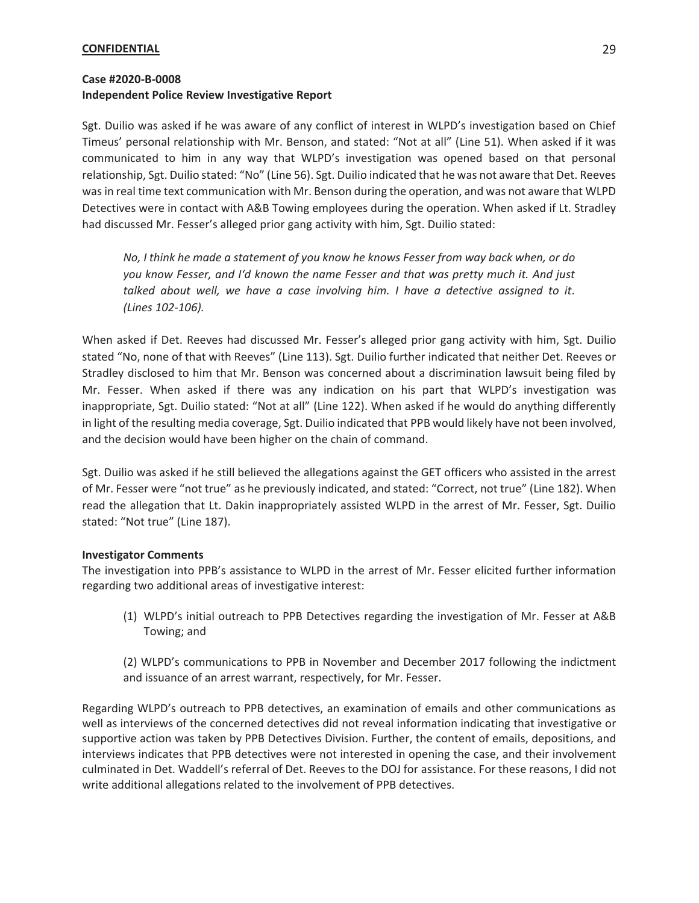Sgt. Duilio was asked if he was aware of any conflict of interest in WLPD's investigation based on Chief Timeus' personal relationship with Mr. Benson, and stated: "Not at all" (Line 51). When asked if it was communicated to him in any way that WLPD's investigation was opened based on that personal relationship, Sgt. Duilio stated: "No" (Line 56). Sgt. Duilio indicated that he was not aware that Det. Reeves was in real time text communication with Mr. Benson during the operation, and was not aware that WLPD Detectives were in contact with A&B Towing employees during the operation. When asked if Lt. Stradley had discussed Mr. Fesser's alleged prior gang activity with him, Sgt. Duilio stated:

*No, I think he made a statement of you know he knows Fesser from way back when, or do you know Fesser, and I'd known the name Fesser and that was pretty much it. And just talked about well, we have a case involving him. I have a detective assigned to it. (Lines 102-106).* 

When asked if Det. Reeves had discussed Mr. Fesser's alleged prior gang activity with him, Sgt. Duilio stated "No, none of that with Reeves" (Line 113). Sgt. Duilio further indicated that neither Det. Reeves or Stradley disclosed to him that Mr. Benson was concerned about a discrimination lawsuit being filed by Mr. Fesser. When asked if there was any indication on his part that WLPD's investigation was inappropriate, Sgt. Duilio stated: "Not at all" (Line 122). When asked if he would do anything differently in light of the resulting media coverage, Sgt. Duilio indicated that PPB would likely have not been involved, and the decision would have been higher on the chain of command.

Sgt. Duilio was asked if he still believed the allegations against the GET officers who assisted in the arrest of Mr. Fesser were "not true" as he previously indicated, and stated: "Correct, not true" (Line 182). When read the allegation that Lt. Dakin inappropriately assisted WLPD in the arrest of Mr. Fesser, Sgt. Duilio stated: "Not true" (Line 187).

# **Investigator Comments**

The investigation into PPB's assistance to WLPD in the arrest of Mr. Fesser elicited further information regarding two additional areas of investigative interest:

(1) WLPD's initial outreach to PPB Detectives regarding the investigation of Mr. Fesser at A&B Towing; and

(2) WLPD's communications to PPB in November and December 2017 following the indictment and issuance of an arrest warrant, respectively, for Mr. Fesser.

Regarding WLPD's outreach to PPB detectives, an examination of emails and other communications as well as interviews of the concerned detectives did not reveal information indicating that investigative or supportive action was taken by PPB Detectives Division. Further, the content of emails, depositions, and interviews indicates that PPB detectives were not interested in opening the case, and their involvement culminated in Det. Waddell's referral of Det. Reeves to the DOJ for assistance. For these reasons, I did not write additional allegations related to the involvement of PPB detectives.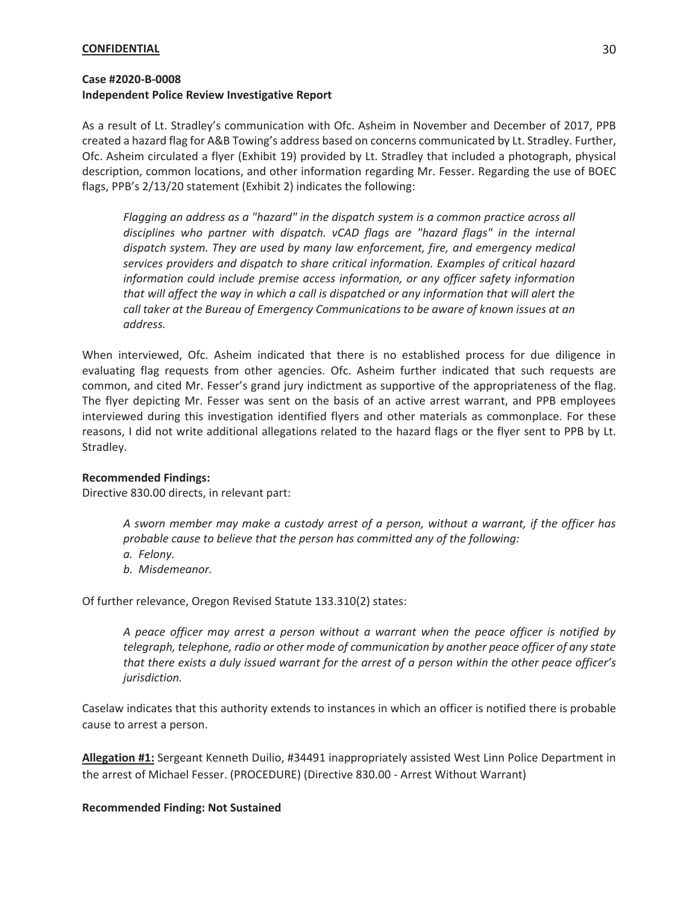As a result of Lt. Stradley's communication with Ofc. Asheim in November and December of 2017, PPB created a hazard flag for A&B Towing's address based on concerns communicated by Lt. Stradley. Further, Ofc. Asheim circulated a flyer (Exhibit 19) provided by Lt. Stradley that included a photograph, physical description, common locations, and other information regarding Mr. Fesser. Regarding the use of BOEC flags, PPB's 2/13/20 statement (Exhibit 2) indicates the following:

*Flagging an address as a "hazard" in the dispatch system is a common practice across all*  disciplines who partner with dispatch. vCAD flags are "hazard flags" in the internal *dispatch system. They are used by many law enforcement, fire, and emergency medical services providers and dispatch to share critical information. Examples of critical hazard information could include premise access information, or any officer safety information that will affect the way in which a call is dispatched or any information that will alert the call taker at the Bureau of Emergency Communications to be aware of known issues at an address.*

When interviewed, Ofc. Asheim indicated that there is no established process for due diligence in evaluating flag requests from other agencies. Ofc. Asheim further indicated that such requests are common, and cited Mr. Fesser's grand jury indictment as supportive of the appropriateness of the flag. The flyer depicting Mr. Fesser was sent on the basis of an active arrest warrant, and PPB employees interviewed during this investigation identified flyers and other materials as commonplace. For these reasons, I did not write additional allegations related to the hazard flags or the flyer sent to PPB by Lt. Stradley.

### **Recommended Findings:**

Directive 830.00 directs, in relevant part:

*A sworn member may make a custody arrest of a person, without a warrant, if the officer has probable cause to believe that the person has committed any of the following:* 

- *a. Felony.*
- *b. Misdemeanor.*

Of further relevance, Oregon Revised Statute 133.310(2) states:

*A peace officer may arrest a person without a warrant when the peace officer is notified by telegraph, telephone, radio or other mode of communication by another peace officer of any state that there exists a duly issued warrant for the arrest of a person within the other peace officer's jurisdiction.* 

Caselaw indicates that this authority extends to instances in which an officer is notified there is probable cause to arrest a person.

**Allegation #1:** Sergeant Kenneth Duilio, #34491 inappropriately assisted West Linn Police Department in the arrest of Michael Fesser. (PROCEDURE) (Directive 830.00 - Arrest Without Warrant)

### **Recommended Finding: Not Sustained**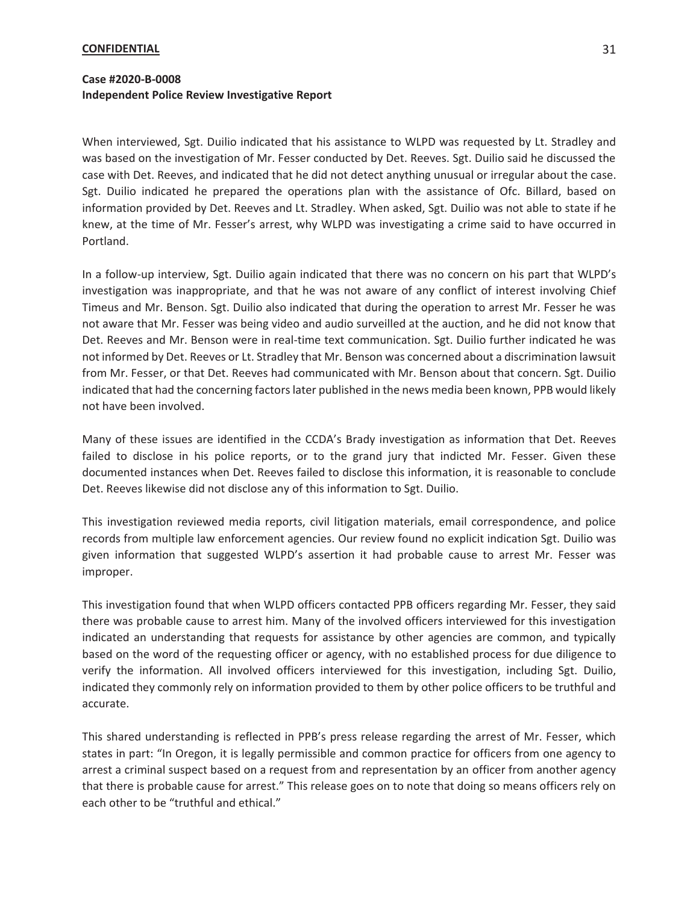# **Case #2020-B-0008 Independent Police Review Investigative Report**

When interviewed, Sgt. Duilio indicated that his assistance to WLPD was requested by Lt. Stradley and was based on the investigation of Mr. Fesser conducted by Det. Reeves. Sgt. Duilio said he discussed the case with Det. Reeves, and indicated that he did not detect anything unusual or irregular about the case. Sgt. Duilio indicated he prepared the operations plan with the assistance of Ofc. Billard, based on information provided by Det. Reeves and Lt. Stradley. When asked, Sgt. Duilio was not able to state if he knew, at the time of Mr. Fesser's arrest, why WLPD was investigating a crime said to have occurred in Portland.

In a follow-up interview, Sgt. Duilio again indicated that there was no concern on his part that WLPD's investigation was inappropriate, and that he was not aware of any conflict of interest involving Chief Timeus and Mr. Benson. Sgt. Duilio also indicated that during the operation to arrest Mr. Fesser he was not aware that Mr. Fesser was being video and audio surveilled at the auction, and he did not know that Det. Reeves and Mr. Benson were in real-time text communication. Sgt. Duilio further indicated he was not informed by Det. Reeves or Lt. Stradley that Mr. Benson was concerned about a discrimination lawsuit from Mr. Fesser, or that Det. Reeves had communicated with Mr. Benson about that concern. Sgt. Duilio indicated that had the concerning factors later published in the news media been known, PPB would likely not have been involved.

Many of these issues are identified in the CCDA's Brady investigation as information that Det. Reeves failed to disclose in his police reports, or to the grand jury that indicted Mr. Fesser. Given these documented instances when Det. Reeves failed to disclose this information, it is reasonable to conclude Det. Reeves likewise did not disclose any of this information to Sgt. Duilio.

This investigation reviewed media reports, civil litigation materials, email correspondence, and police records from multiple law enforcement agencies. Our review found no explicit indication Sgt. Duilio was given information that suggested WLPD's assertion it had probable cause to arrest Mr. Fesser was improper.

This investigation found that when WLPD officers contacted PPB officers regarding Mr. Fesser, they said there was probable cause to arrest him. Many of the involved officers interviewed for this investigation indicated an understanding that requests for assistance by other agencies are common, and typically based on the word of the requesting officer or agency, with no established process for due diligence to verify the information. All involved officers interviewed for this investigation, including Sgt. Duilio, indicated they commonly rely on information provided to them by other police officers to be truthful and accurate.

This shared understanding is reflected in PPB's press release regarding the arrest of Mr. Fesser, which states in part: "In Oregon, it is legally permissible and common practice for officers from one agency to arrest a criminal suspect based on a request from and representation by an officer from another agency that there is probable cause for arrest." This release goes on to note that doing so means officers rely on each other to be "truthful and ethical."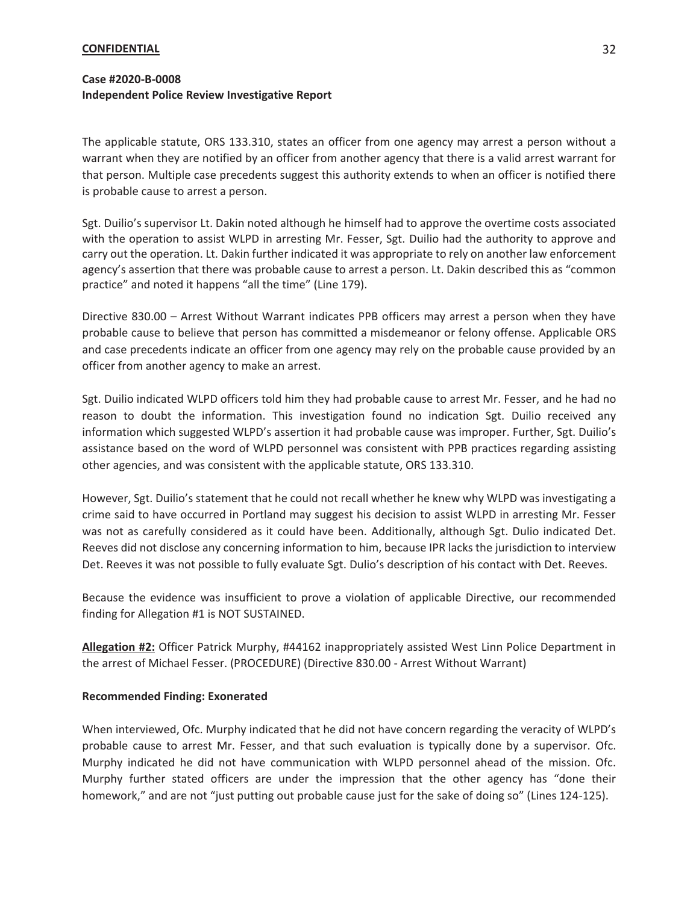# **Case #2020-B-0008 Independent Police Review Investigative Report**

The applicable statute, ORS 133.310, states an officer from one agency may arrest a person without a warrant when they are notified by an officer from another agency that there is a valid arrest warrant for that person. Multiple case precedents suggest this authority extends to when an officer is notified there is probable cause to arrest a person.

Sgt. Duilio's supervisor Lt. Dakin noted although he himself had to approve the overtime costs associated with the operation to assist WLPD in arresting Mr. Fesser, Sgt. Duilio had the authority to approve and carry out the operation. Lt. Dakin further indicated it was appropriate to rely on another law enforcement agency's assertion that there was probable cause to arrest a person. Lt. Dakin described this as "common practice" and noted it happens "all the time" (Line 179).

Directive 830.00 – Arrest Without Warrant indicates PPB officers may arrest a person when they have probable cause to believe that person has committed a misdemeanor or felony offense. Applicable ORS and case precedents indicate an officer from one agency may rely on the probable cause provided by an officer from another agency to make an arrest.

Sgt. Duilio indicated WLPD officers told him they had probable cause to arrest Mr. Fesser, and he had no reason to doubt the information. This investigation found no indication Sgt. Duilio received any information which suggested WLPD's assertion it had probable cause was improper. Further, Sgt. Duilio's assistance based on the word of WLPD personnel was consistent with PPB practices regarding assisting other agencies, and was consistent with the applicable statute, ORS 133.310.

However, Sgt. Duilio's statement that he could not recall whether he knew why WLPD was investigating a crime said to have occurred in Portland may suggest his decision to assist WLPD in arresting Mr. Fesser was not as carefully considered as it could have been. Additionally, although Sgt. Dulio indicated Det. Reeves did not disclose any concerning information to him, because IPR lacks the jurisdiction to interview Det. Reeves it was not possible to fully evaluate Sgt. Dulio's description of his contact with Det. Reeves.

Because the evidence was insufficient to prove a violation of applicable Directive, our recommended finding for Allegation #1 is NOT SUSTAINED.

**Allegation #2:** Officer Patrick Murphy, #44162 inappropriately assisted West Linn Police Department in the arrest of Michael Fesser. (PROCEDURE) (Directive 830.00 - Arrest Without Warrant)

# **Recommended Finding: Exonerated**

When interviewed, Ofc. Murphy indicated that he did not have concern regarding the veracity of WLPD's probable cause to arrest Mr. Fesser, and that such evaluation is typically done by a supervisor. Ofc. Murphy indicated he did not have communication with WLPD personnel ahead of the mission. Ofc. Murphy further stated officers are under the impression that the other agency has "done their homework," and are not "just putting out probable cause just for the sake of doing so" (Lines 124-125).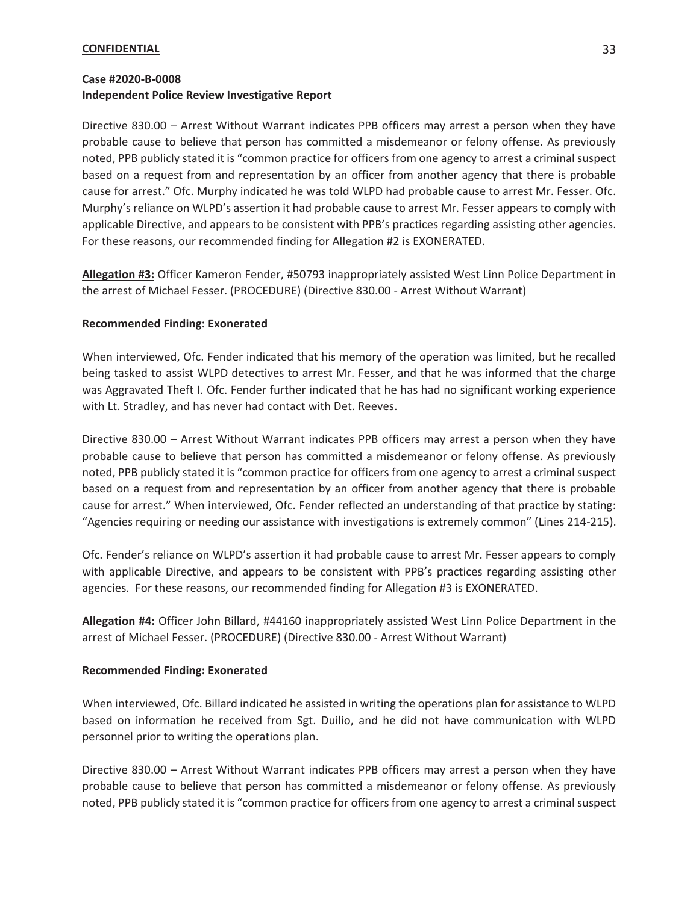Directive 830.00 – Arrest Without Warrant indicates PPB officers may arrest a person when they have probable cause to believe that person has committed a misdemeanor or felony offense. As previously noted, PPB publicly stated it is "common practice for officers from one agency to arrest a criminal suspect based on a request from and representation by an officer from another agency that there is probable cause for arrest." Ofc. Murphy indicated he was told WLPD had probable cause to arrest Mr. Fesser. Ofc. Murphy's reliance on WLPD's assertion it had probable cause to arrest Mr. Fesser appears to comply with applicable Directive, and appears to be consistent with PPB's practices regarding assisting other agencies. For these reasons, our recommended finding for Allegation #2 is EXONERATED.

**Allegation #3:** Officer Kameron Fender, #50793 inappropriately assisted West Linn Police Department in the arrest of Michael Fesser. (PROCEDURE) (Directive 830.00 - Arrest Without Warrant)

## **Recommended Finding: Exonerated**

When interviewed, Ofc. Fender indicated that his memory of the operation was limited, but he recalled being tasked to assist WLPD detectives to arrest Mr. Fesser, and that he was informed that the charge was Aggravated Theft I. Ofc. Fender further indicated that he has had no significant working experience with Lt. Stradley, and has never had contact with Det. Reeves.

Directive 830.00 – Arrest Without Warrant indicates PPB officers may arrest a person when they have probable cause to believe that person has committed a misdemeanor or felony offense. As previously noted, PPB publicly stated it is "common practice for officers from one agency to arrest a criminal suspect based on a request from and representation by an officer from another agency that there is probable cause for arrest." When interviewed, Ofc. Fender reflected an understanding of that practice by stating: "Agencies requiring or needing our assistance with investigations is extremely common" (Lines 214-215).

Ofc. Fender's reliance on WLPD's assertion it had probable cause to arrest Mr. Fesser appears to comply with applicable Directive, and appears to be consistent with PPB's practices regarding assisting other agencies. For these reasons, our recommended finding for Allegation #3 is EXONERATED.

**Allegation #4:** Officer John Billard, #44160 inappropriately assisted West Linn Police Department in the arrest of Michael Fesser. (PROCEDURE) (Directive 830.00 - Arrest Without Warrant)

### **Recommended Finding: Exonerated**

When interviewed, Ofc. Billard indicated he assisted in writing the operations plan for assistance to WLPD based on information he received from Sgt. Duilio, and he did not have communication with WLPD personnel prior to writing the operations plan.

Directive 830.00 – Arrest Without Warrant indicates PPB officers may arrest a person when they have probable cause to believe that person has committed a misdemeanor or felony offense. As previously noted, PPB publicly stated it is "common practice for officers from one agency to arrest a criminal suspect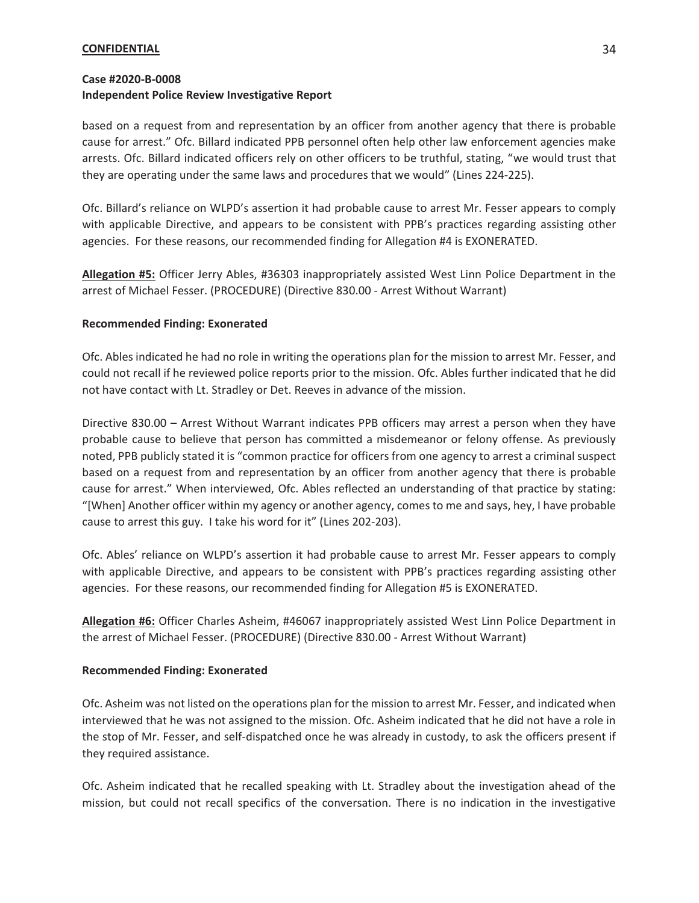based on a request from and representation by an officer from another agency that there is probable cause for arrest." Ofc. Billard indicated PPB personnel often help other law enforcement agencies make arrests. Ofc. Billard indicated officers rely on other officers to be truthful, stating, "we would trust that they are operating under the same laws and procedures that we would" (Lines 224-225).

Ofc. Billard's reliance on WLPD's assertion it had probable cause to arrest Mr. Fesser appears to comply with applicable Directive, and appears to be consistent with PPB's practices regarding assisting other agencies. For these reasons, our recommended finding for Allegation #4 is EXONERATED.

**Allegation #5:** Officer Jerry Ables, #36303 inappropriately assisted West Linn Police Department in the arrest of Michael Fesser. (PROCEDURE) (Directive 830.00 - Arrest Without Warrant)

# **Recommended Finding: Exonerated**

Ofc. Ables indicated he had no role in writing the operations plan for the mission to arrest Mr. Fesser, and could not recall if he reviewed police reports prior to the mission. Ofc. Ables further indicated that he did not have contact with Lt. Stradley or Det. Reeves in advance of the mission.

Directive 830.00 – Arrest Without Warrant indicates PPB officers may arrest a person when they have probable cause to believe that person has committed a misdemeanor or felony offense. As previously noted, PPB publicly stated it is "common practice for officers from one agency to arrest a criminal suspect based on a request from and representation by an officer from another agency that there is probable cause for arrest." When interviewed, Ofc. Ables reflected an understanding of that practice by stating: "[When] Another officer within my agency or another agency, comes to me and says, hey, I have probable cause to arrest this guy. I take his word for it" (Lines 202-203).

Ofc. Ables' reliance on WLPD's assertion it had probable cause to arrest Mr. Fesser appears to comply with applicable Directive, and appears to be consistent with PPB's practices regarding assisting other agencies. For these reasons, our recommended finding for Allegation #5 is EXONERATED.

**Allegation #6:** Officer Charles Asheim, #46067 inappropriately assisted West Linn Police Department in the arrest of Michael Fesser. (PROCEDURE) (Directive 830.00 - Arrest Without Warrant)

# **Recommended Finding: Exonerated**

Ofc. Asheim was not listed on the operations plan for the mission to arrest Mr. Fesser, and indicated when interviewed that he was not assigned to the mission. Ofc. Asheim indicated that he did not have a role in the stop of Mr. Fesser, and self-dispatched once he was already in custody, to ask the officers present if they required assistance.

Ofc. Asheim indicated that he recalled speaking with Lt. Stradley about the investigation ahead of the mission, but could not recall specifics of the conversation. There is no indication in the investigative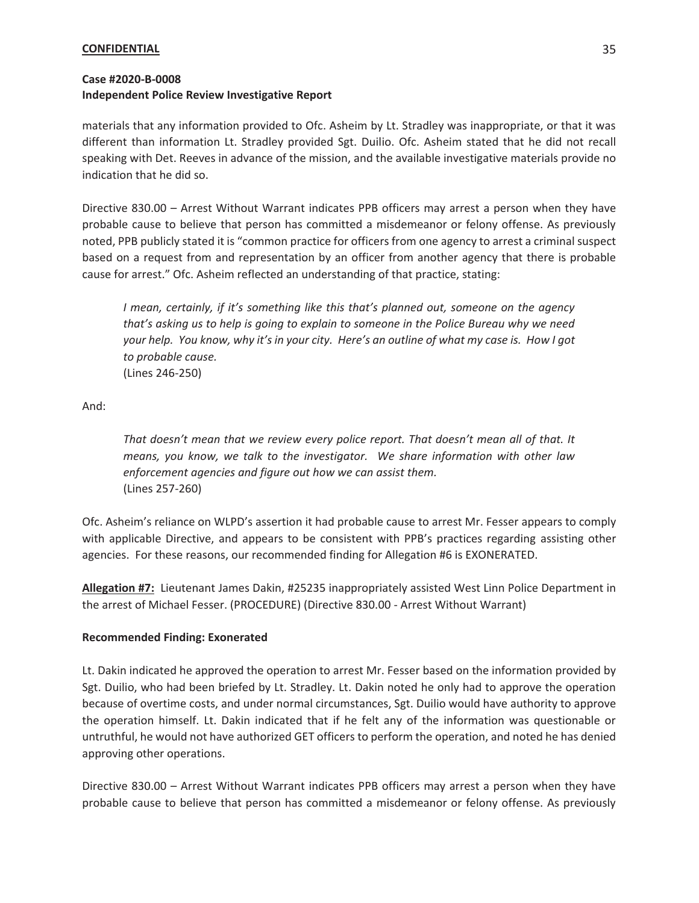# **Case #2020-B-0008 Independent Police Review Investigative Report**

materials that any information provided to Ofc. Asheim by Lt. Stradley was inappropriate, or that it was different than information Lt. Stradley provided Sgt. Duilio. Ofc. Asheim stated that he did not recall speaking with Det. Reeves in advance of the mission, and the available investigative materials provide no indication that he did so.

Directive 830.00 – Arrest Without Warrant indicates PPB officers may arrest a person when they have probable cause to believe that person has committed a misdemeanor or felony offense. As previously noted, PPB publicly stated it is "common practice for officers from one agency to arrest a criminal suspect based on a request from and representation by an officer from another agency that there is probable cause for arrest." Ofc. Asheim reflected an understanding of that practice, stating:

*I mean, certainly, if it's something like this that's planned out, someone on the agency that's asking us to help is going to explain to someone in the Police Bureau why we need your help. You know, why it's in your city. Here's an outline of what my case is. How I got to probable cause.*  (Lines 246-250)

And:

*That doesn't mean that we review every police report. That doesn't mean all of that. It means, you know, we talk to the investigator. We share information with other law enforcement agencies and figure out how we can assist them.*  (Lines 257-260)

Ofc. Asheim's reliance on WLPD's assertion it had probable cause to arrest Mr. Fesser appears to comply with applicable Directive, and appears to be consistent with PPB's practices regarding assisting other agencies. For these reasons, our recommended finding for Allegation #6 is EXONERATED.

**Allegation #7:** Lieutenant James Dakin, #25235 inappropriately assisted West Linn Police Department in the arrest of Michael Fesser. (PROCEDURE) (Directive 830.00 - Arrest Without Warrant)

# **Recommended Finding: Exonerated**

Lt. Dakin indicated he approved the operation to arrest Mr. Fesser based on the information provided by Sgt. Duilio, who had been briefed by Lt. Stradley. Lt. Dakin noted he only had to approve the operation because of overtime costs, and under normal circumstances, Sgt. Duilio would have authority to approve the operation himself. Lt. Dakin indicated that if he felt any of the information was questionable or untruthful, he would not have authorized GET officers to perform the operation, and noted he has denied approving other operations.

Directive 830.00 – Arrest Without Warrant indicates PPB officers may arrest a person when they have probable cause to believe that person has committed a misdemeanor or felony offense. As previously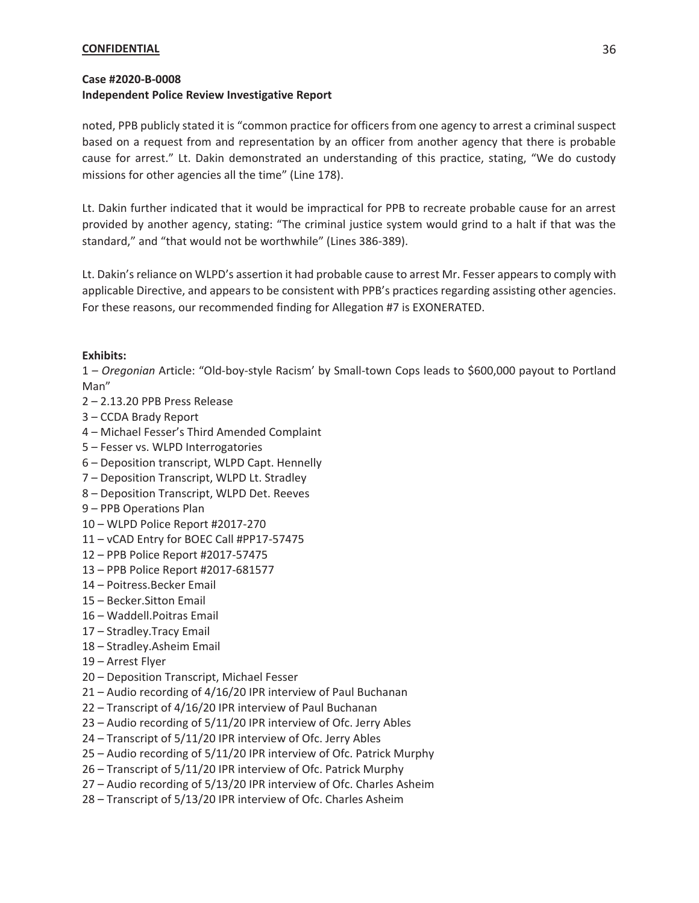# **Case #2020-B-0008**

# **Independent Police Review Investigative Report**

noted, PPB publicly stated it is "common practice for officers from one agency to arrest a criminal suspect based on a request from and representation by an officer from another agency that there is probable cause for arrest." Lt. Dakin demonstrated an understanding of this practice, stating, "We do custody missions for other agencies all the time" (Line 178).

Lt. Dakin further indicated that it would be impractical for PPB to recreate probable cause for an arrest provided by another agency, stating: "The criminal justice system would grind to a halt if that was the standard," and "that would not be worthwhile" (Lines 386-389).

Lt. Dakin's reliance on WLPD's assertion it had probable cause to arrest Mr. Fesser appears to comply with applicable Directive, and appears to be consistent with PPB's practices regarding assisting other agencies. For these reasons, our recommended finding for Allegation #7 is EXONERATED.

# **Exhibits:**

1 – *Oregonian* Article: "Old-boy-style Racism' by Small-town Cops leads to \$600,000 payout to Portland Man"

- 2 2.13.20 PPB Press Release
- 3 CCDA Brady Report
- 4 Michael Fesser's Third Amended Complaint
- 5 Fesser vs. WLPD Interrogatories
- 6 Deposition transcript, WLPD Capt. Hennelly
- 7 Deposition Transcript, WLPD Lt. Stradley
- 8 Deposition Transcript, WLPD Det. Reeves
- 9 PPB Operations Plan
- 10 WLPD Police Report #2017-270
- 11 vCAD Entry for BOEC Call #PP17-57475
- 12 PPB Police Report #2017-57475
- 13 PPB Police Report #2017-681577
- 14 Poitress.Becker Email
- 15 Becker.Sitton Email
- 16 Waddell.Poitras Email
- 17 Stradley.Tracy Email
- 18 Stradley.Asheim Email
- 19 Arrest Flyer
- 20 Deposition Transcript, Michael Fesser
- 21 Audio recording of 4/16/20 IPR interview of Paul Buchanan
- 22 Transcript of 4/16/20 IPR interview of Paul Buchanan
- 23 Audio recording of 5/11/20 IPR interview of Ofc. Jerry Ables
- 24 Transcript of 5/11/20 IPR interview of Ofc. Jerry Ables
- 25 Audio recording of 5/11/20 IPR interview of Ofc. Patrick Murphy
- 26 Transcript of 5/11/20 IPR interview of Ofc. Patrick Murphy
- 27 Audio recording of 5/13/20 IPR interview of Ofc. Charles Asheim
- 28 Transcript of 5/13/20 IPR interview of Ofc. Charles Asheim